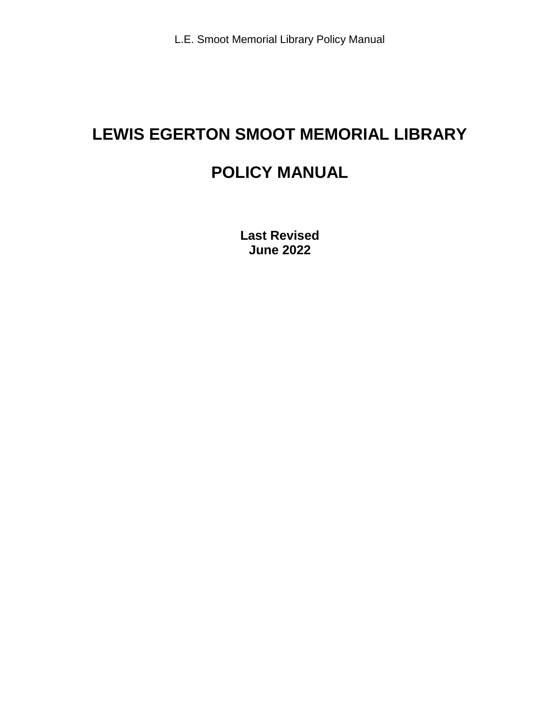# **LEWIS EGERTON SMOOT MEMORIAL LIBRARY POLICY MANUAL**

**Last Revised June 2022**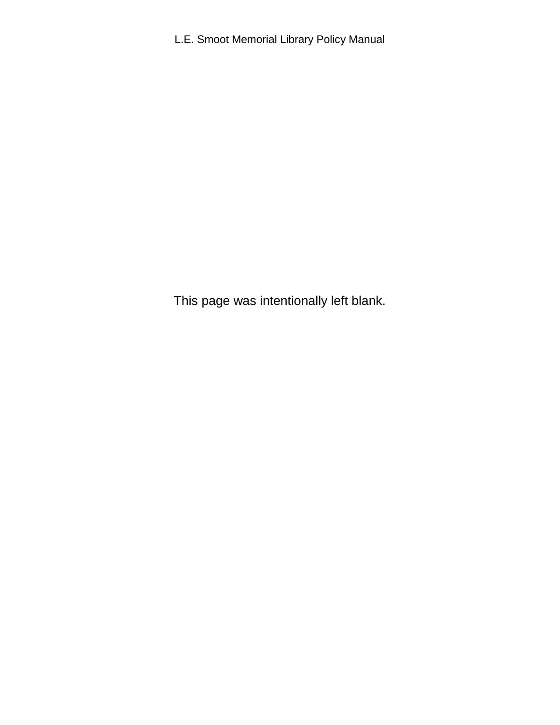L.E. Smoot Memorial Library Policy Manual

This page was intentionally left blank.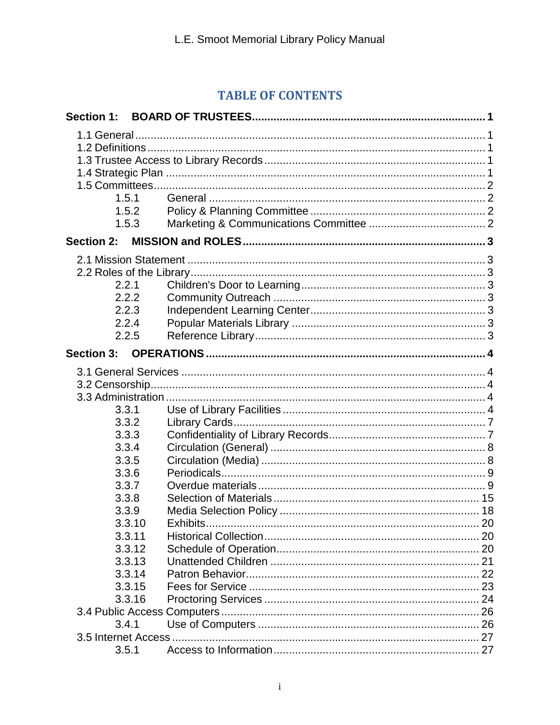# **TABLE OF CONTENTS**

| <b>Section 1:</b> |  |  |  |  |  |
|-------------------|--|--|--|--|--|
|                   |  |  |  |  |  |
|                   |  |  |  |  |  |
|                   |  |  |  |  |  |
|                   |  |  |  |  |  |
|                   |  |  |  |  |  |
| 1.5.1             |  |  |  |  |  |
| 1.5.2             |  |  |  |  |  |
| 1.5.3             |  |  |  |  |  |
| <b>Section 2:</b> |  |  |  |  |  |
|                   |  |  |  |  |  |
|                   |  |  |  |  |  |
| 2.2.1             |  |  |  |  |  |
| 2.2.2             |  |  |  |  |  |
| 2.2.3             |  |  |  |  |  |
| 2.2.4             |  |  |  |  |  |
| 2.2.5             |  |  |  |  |  |
| <b>Section 3:</b> |  |  |  |  |  |
|                   |  |  |  |  |  |
|                   |  |  |  |  |  |
|                   |  |  |  |  |  |
| 3.3.1             |  |  |  |  |  |
| 3.3.2             |  |  |  |  |  |
| 3.3.3             |  |  |  |  |  |
| 3.3.4             |  |  |  |  |  |
| 3.3.5             |  |  |  |  |  |
| 3.3.6             |  |  |  |  |  |
| 3.3.7             |  |  |  |  |  |
| 3.3.8             |  |  |  |  |  |
| 3.3.9             |  |  |  |  |  |
| 3.3.10            |  |  |  |  |  |
| 3.3.11            |  |  |  |  |  |
| 3.3.12            |  |  |  |  |  |
| 3.3.13            |  |  |  |  |  |
| 3.3.14            |  |  |  |  |  |
| 3.3.15            |  |  |  |  |  |
| 3.3.16            |  |  |  |  |  |
|                   |  |  |  |  |  |
| 3.4.1             |  |  |  |  |  |
|                   |  |  |  |  |  |
| 3.5.1             |  |  |  |  |  |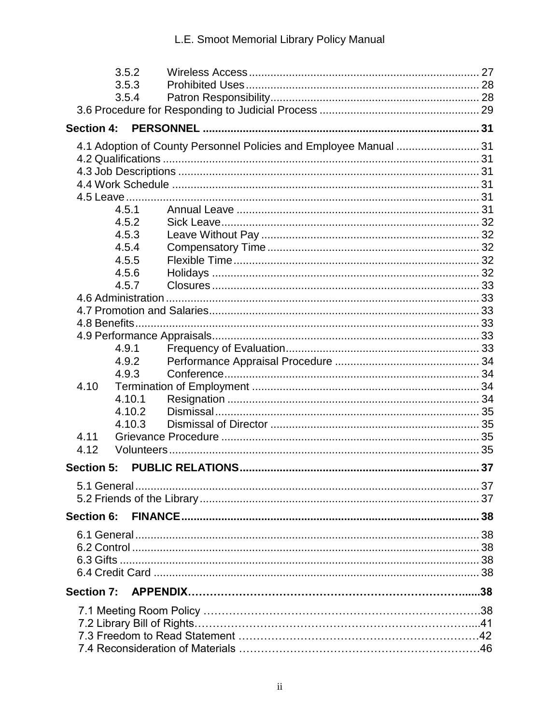# L.E. Smoot Memorial Library Policy Manual

| 3.5.3<br>3.5.4<br><b>Section 4:</b><br>4.1 Adoption of County Personnel Policies and Employee Manual  31<br>4.5.1<br>4.5.2<br>4.5.3<br>4.5.4<br>4.5.5<br>4.5.6<br>4.5.7<br>4.9.1<br>4.9.2<br>4.9.3<br>4.10<br>4.10.1<br>4.10.2<br>4.10.3<br>4.11<br>4.12<br><b>Section 5:</b> | 3.5.2 |  |  |  |
|-------------------------------------------------------------------------------------------------------------------------------------------------------------------------------------------------------------------------------------------------------------------------------|-------|--|--|--|
|                                                                                                                                                                                                                                                                               |       |  |  |  |
|                                                                                                                                                                                                                                                                               |       |  |  |  |
|                                                                                                                                                                                                                                                                               |       |  |  |  |
|                                                                                                                                                                                                                                                                               |       |  |  |  |
|                                                                                                                                                                                                                                                                               |       |  |  |  |
|                                                                                                                                                                                                                                                                               |       |  |  |  |
|                                                                                                                                                                                                                                                                               |       |  |  |  |
|                                                                                                                                                                                                                                                                               |       |  |  |  |
|                                                                                                                                                                                                                                                                               |       |  |  |  |
|                                                                                                                                                                                                                                                                               |       |  |  |  |
|                                                                                                                                                                                                                                                                               |       |  |  |  |
|                                                                                                                                                                                                                                                                               |       |  |  |  |
|                                                                                                                                                                                                                                                                               |       |  |  |  |
|                                                                                                                                                                                                                                                                               |       |  |  |  |
|                                                                                                                                                                                                                                                                               |       |  |  |  |
|                                                                                                                                                                                                                                                                               |       |  |  |  |
|                                                                                                                                                                                                                                                                               |       |  |  |  |
|                                                                                                                                                                                                                                                                               |       |  |  |  |
|                                                                                                                                                                                                                                                                               |       |  |  |  |
|                                                                                                                                                                                                                                                                               |       |  |  |  |
|                                                                                                                                                                                                                                                                               |       |  |  |  |
|                                                                                                                                                                                                                                                                               |       |  |  |  |
|                                                                                                                                                                                                                                                                               |       |  |  |  |
|                                                                                                                                                                                                                                                                               |       |  |  |  |
|                                                                                                                                                                                                                                                                               |       |  |  |  |
|                                                                                                                                                                                                                                                                               |       |  |  |  |
|                                                                                                                                                                                                                                                                               |       |  |  |  |
|                                                                                                                                                                                                                                                                               |       |  |  |  |
|                                                                                                                                                                                                                                                                               |       |  |  |  |
|                                                                                                                                                                                                                                                                               |       |  |  |  |
|                                                                                                                                                                                                                                                                               |       |  |  |  |
|                                                                                                                                                                                                                                                                               |       |  |  |  |
| <b>Section 6:</b>                                                                                                                                                                                                                                                             |       |  |  |  |
|                                                                                                                                                                                                                                                                               |       |  |  |  |
|                                                                                                                                                                                                                                                                               |       |  |  |  |
|                                                                                                                                                                                                                                                                               |       |  |  |  |
|                                                                                                                                                                                                                                                                               |       |  |  |  |
|                                                                                                                                                                                                                                                                               |       |  |  |  |
|                                                                                                                                                                                                                                                                               |       |  |  |  |
|                                                                                                                                                                                                                                                                               |       |  |  |  |
|                                                                                                                                                                                                                                                                               |       |  |  |  |
|                                                                                                                                                                                                                                                                               |       |  |  |  |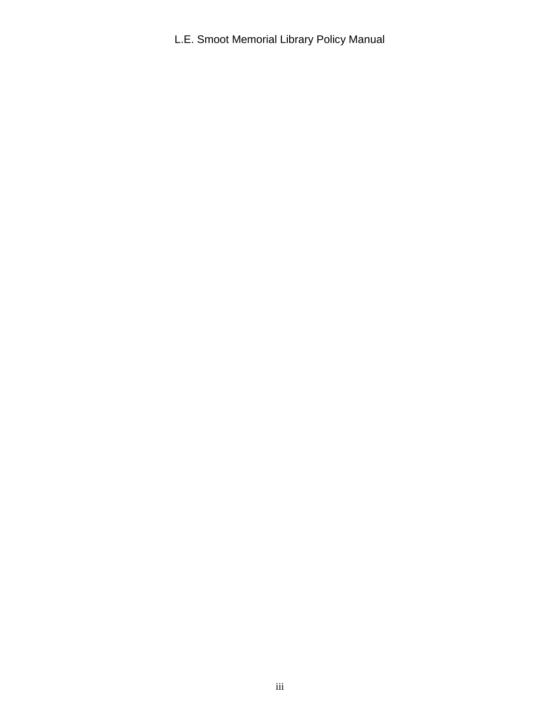L.E. Smoot Memorial Library Policy Manual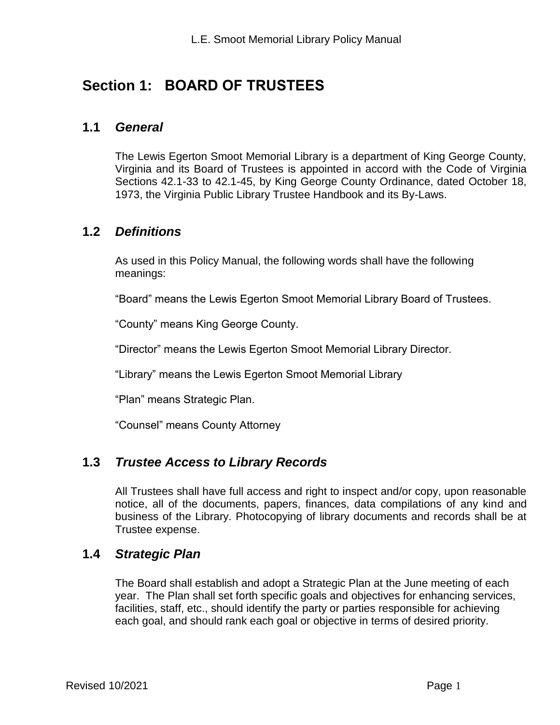# <span id="page-5-0"></span>**Section 1: BOARD OF TRUSTEES**

### <span id="page-5-1"></span>**1.1** *General*

The Lewis Egerton Smoot Memorial Library is a department of King George County, Virginia and its Board of Trustees is appointed in accord with the Code of Virginia Sections 42.1-33 to 42.1-45, by King George County Ordinance, dated October 18, 1973, the Virginia Public Library Trustee Handbook and its By-Laws.

### <span id="page-5-2"></span>**1.2** *Definitions*

As used in this Policy Manual, the following words shall have the following meanings:

"Board" means the Lewis Egerton Smoot Memorial Library Board of Trustees.

"County" means King George County.

"Director" means the Lewis Egerton Smoot Memorial Library Director.

"Library" means the Lewis Egerton Smoot Memorial Library

"Plan" means Strategic Plan.

"Counsel" means County Attorney

# <span id="page-5-3"></span>**1.3** *Trustee Access to Library Records*

All Trustees shall have full access and right to inspect and/or copy, upon reasonable notice, all of the documents, papers, finances, data compilations of any kind and business of the Library. Photocopying of library documents and records shall be at Trustee expense.

### <span id="page-5-4"></span>**1.4** *Strategic Plan*

The Board shall establish and adopt a Strategic Plan at the June meeting of each year. The Plan shall set forth specific goals and objectives for enhancing services, facilities, staff, etc., should identify the party or parties responsible for achieving each goal, and should rank each goal or objective in terms of desired priority.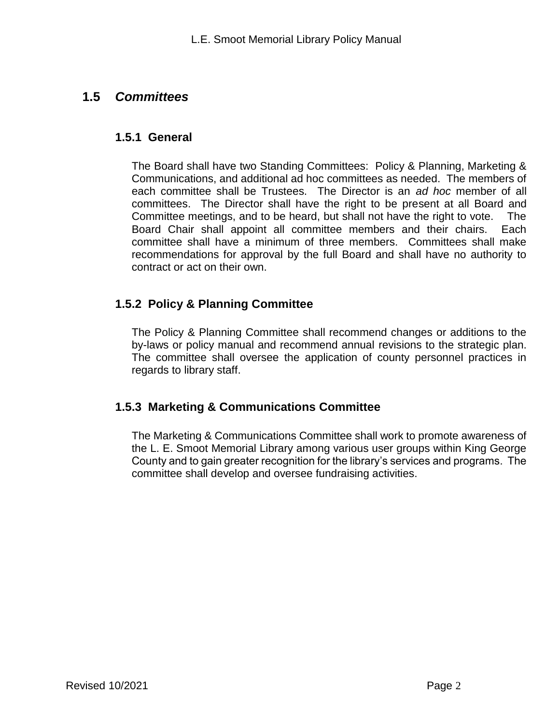# <span id="page-6-1"></span><span id="page-6-0"></span>**1.5** *Committees*

### **1.5.1 General**

The Board shall have two Standing Committees: Policy & Planning, Marketing & Communications, and additional ad hoc committees as needed. The members of each committee shall be Trustees. The Director is an *ad hoc* member of all committees. The Director shall have the right to be present at all Board and Committee meetings, and to be heard, but shall not have the right to vote. The Board Chair shall appoint all committee members and their chairs. Each committee shall have a minimum of three members. Committees shall make recommendations for approval by the full Board and shall have no authority to contract or act on their own.

### <span id="page-6-2"></span>**1.5.2 Policy & Planning Committee**

The Policy & Planning Committee shall recommend changes or additions to the by-laws or policy manual and recommend annual revisions to the strategic plan. The committee shall oversee the application of county personnel practices in regards to library staff.

### <span id="page-6-3"></span>**1.5.3 Marketing & Communications Committee**

The Marketing & Communications Committee shall work to promote awareness of the L. E. Smoot Memorial Library among various user groups within King George County and to gain greater recognition for the library's services and programs. The committee shall develop and oversee fundraising activities.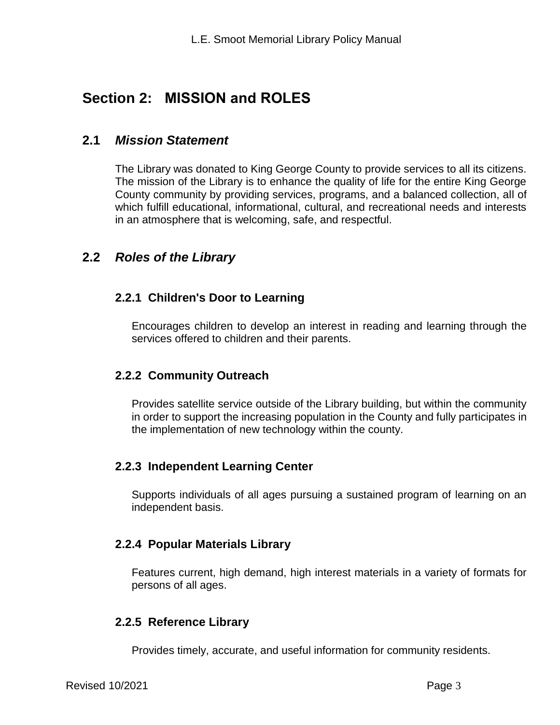# <span id="page-7-0"></span>**Section 2: MISSION and ROLES**

# <span id="page-7-1"></span>**2.1** *Mission Statement*

The Library was donated to King George County to provide services to all its citizens. The mission of the Library is to enhance the quality of life for the entire King George County community by providing services, programs, and a balanced collection, all of which fulfill educational, informational, cultural, and recreational needs and interests in an atmosphere that is welcoming, safe, and respectful.

# <span id="page-7-3"></span><span id="page-7-2"></span>**2.2** *Roles of the Library*

### **2.2.1 Children's Door to Learning**

Encourages children to develop an interest in reading and learning through the services offered to children and their parents.

### <span id="page-7-4"></span>**2.2.2 Community Outreach**

Provides satellite service outside of the Library building, but within the community in order to support the increasing population in the County and fully participates in the implementation of new technology within the county.

### <span id="page-7-5"></span>**2.2.3 Independent Learning Center**

Supports individuals of all ages pursuing a sustained program of learning on an independent basis.

### <span id="page-7-6"></span>**2.2.4 Popular Materials Library**

Features current, high demand, high interest materials in a variety of formats for persons of all ages.

### <span id="page-7-7"></span>**2.2.5 Reference Library**

Provides timely, accurate, and useful information for community residents.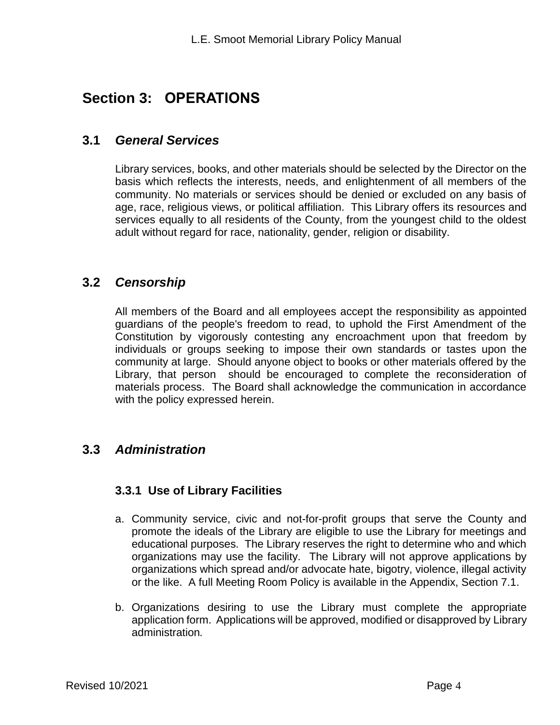# <span id="page-8-0"></span>**Section 3: OPERATIONS**

# <span id="page-8-1"></span>**3.1** *General Services*

Library services, books, and other materials should be selected by the Director on the basis which reflects the interests, needs, and enlightenment of all members of the community. No materials or services should be denied or excluded on any basis of age, race, religious views, or political affiliation. This Library offers its resources and services equally to all residents of the County, from the youngest child to the oldest adult without regard for race, nationality, gender, religion or disability.

# <span id="page-8-2"></span>**3.2** *Censorship*

All members of the Board and all employees accept the responsibility as appointed guardians of the people's freedom to read, to uphold the First Amendment of the Constitution by vigorously contesting any encroachment upon that freedom by individuals or groups seeking to impose their own standards or tastes upon the community at large. Should anyone object to books or other materials offered by the Library, that person should be encouraged to complete the reconsideration of materials process. The Board shall acknowledge the communication in accordance with the policy expressed herein.

# <span id="page-8-4"></span><span id="page-8-3"></span>**3.3** *Administration*

### **3.3.1 Use of Library Facilities**

- a. Community service, civic and not-for-profit groups that serve the County and promote the ideals of the Library are eligible to use the Library for meetings and educational purposes. The Library reserves the right to determine who and which organizations may use the facility. The Library will not approve applications by organizations which spread and/or advocate hate, bigotry, violence, illegal activity or the like. A full Meeting Room Policy is available in the Appendix, Section 7.1.
- b. Organizations desiring to use the Library must complete the appropriate application form. Applications will be approved, modified or disapproved by Library administration*.*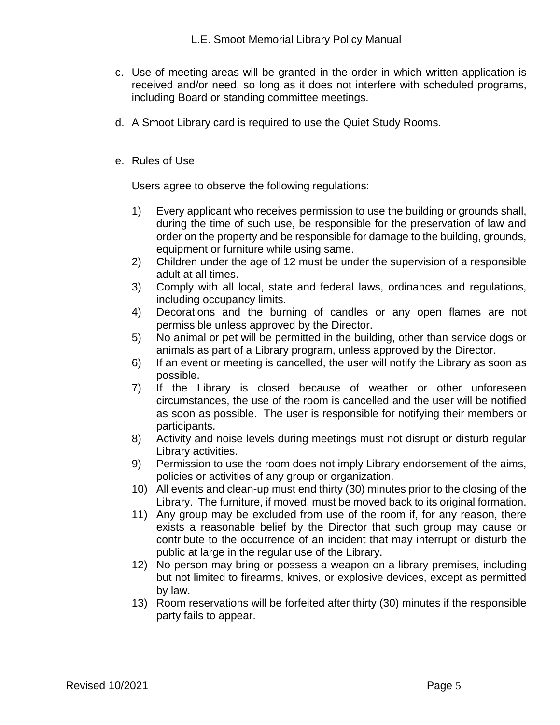- c. Use of meeting areas will be granted in the order in which written application is received and/or need, so long as it does not interfere with scheduled programs, including Board or standing committee meetings.
- d. A Smoot Library card is required to use the Quiet Study Rooms.
- e. Rules of Use

Users agree to observe the following regulations:

- 1) Every applicant who receives permission to use the building or grounds shall, during the time of such use, be responsible for the preservation of law and order on the property and be responsible for damage to the building, grounds, equipment or furniture while using same.
- 2) Children under the age of 12 must be under the supervision of a responsible adult at all times.
- 3) Comply with all local, state and federal laws, ordinances and regulations, including occupancy limits.
- 4) Decorations and the burning of candles or any open flames are not permissible unless approved by the Director.
- 5) No animal or pet will be permitted in the building, other than service dogs or animals as part of a Library program, unless approved by the Director.
- 6) If an event or meeting is cancelled, the user will notify the Library as soon as possible.
- 7) If the Library is closed because of weather or other unforeseen circumstances, the use of the room is cancelled and the user will be notified as soon as possible. The user is responsible for notifying their members or participants.
- 8) Activity and noise levels during meetings must not disrupt or disturb regular Library activities.
- 9) Permission to use the room does not imply Library endorsement of the aims, policies or activities of any group or organization.
- 10) All events and clean-up must end thirty (30) minutes prior to the closing of the Library. The furniture, if moved, must be moved back to its original formation.
- 11) Any group may be excluded from use of the room if, for any reason, there exists a reasonable belief by the Director that such group may cause or contribute to the occurrence of an incident that may interrupt or disturb the public at large in the regular use of the Library.
- 12) No person may bring or possess a weapon on a library premises, including but not limited to firearms, knives, or explosive devices, except as permitted by law.
- 13) Room reservations will be forfeited after thirty (30) minutes if the responsible party fails to appear.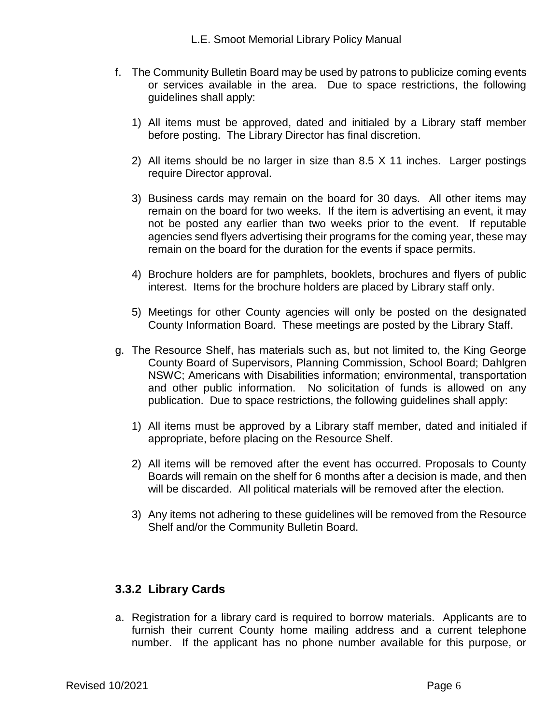- f. The Community Bulletin Board may be used by patrons to publicize coming events or services available in the area. Due to space restrictions, the following guidelines shall apply:
	- 1) All items must be approved, dated and initialed by a Library staff member before posting. The Library Director has final discretion.
	- 2) All items should be no larger in size than 8.5 X 11 inches. Larger postings require Director approval.
	- 3) Business cards may remain on the board for 30 days. All other items may remain on the board for two weeks. If the item is advertising an event, it may not be posted any earlier than two weeks prior to the event. If reputable agencies send flyers advertising their programs for the coming year, these may remain on the board for the duration for the events if space permits.
	- 4) Brochure holders are for pamphlets, booklets, brochures and flyers of public interest. Items for the brochure holders are placed by Library staff only.
	- 5) Meetings for other County agencies will only be posted on the designated County Information Board. These meetings are posted by the Library Staff.
- g. The Resource Shelf, has materials such as, but not limited to, the King George County Board of Supervisors, Planning Commission, School Board; Dahlgren NSWC; Americans with Disabilities information; environmental, transportation and other public information. No solicitation of funds is allowed on any publication. Due to space restrictions, the following guidelines shall apply:
	- 1) All items must be approved by a Library staff member, dated and initialed if appropriate, before placing on the Resource Shelf.
	- 2) All items will be removed after the event has occurred. Proposals to County Boards will remain on the shelf for 6 months after a decision is made, and then will be discarded. All political materials will be removed after the election.
	- 3) Any items not adhering to these guidelines will be removed from the Resource Shelf and/or the Community Bulletin Board.

### <span id="page-10-0"></span>**3.3.2 Library Cards**

a. Registration for a library card is required to borrow materials. Applicants are to furnish their current County home mailing address and a current telephone number. If the applicant has no phone number available for this purpose, or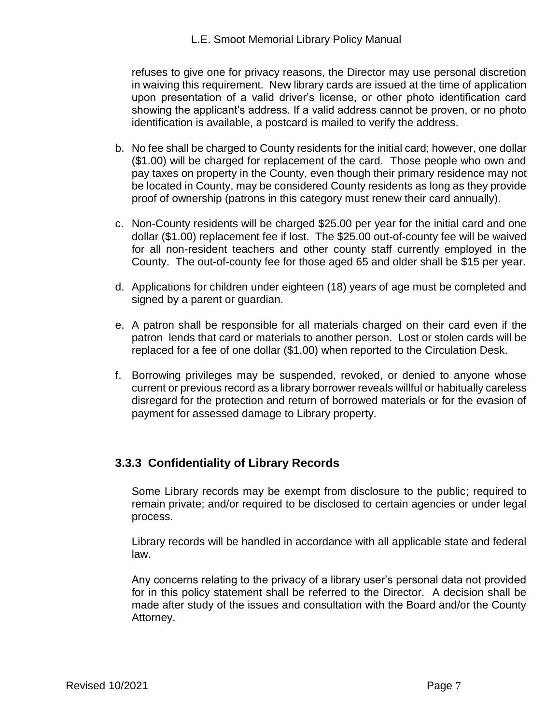#### L.E. Smoot Memorial Library Policy Manual

refuses to give one for privacy reasons, the Director may use personal discretion in waiving this requirement. New library cards are issued at the time of application upon presentation of a valid driver's license, or other photo identification card showing the applicant's address. If a valid address cannot be proven, or no photo identification is available, a postcard is mailed to verify the address.

- b. No fee shall be charged to County residents for the initial card; however, one dollar (\$1.00) will be charged for replacement of the card. Those people who own and pay taxes on property in the County, even though their primary residence may not be located in County, may be considered County residents as long as they provide proof of ownership (patrons in this category must renew their card annually).
- c. Non-County residents will be charged \$25.00 per year for the initial card and one dollar (\$1.00) replacement fee if lost. The \$25.00 out-of-county fee will be waived for all non-resident teachers and other county staff currently employed in the County. The out-of-county fee for those aged 65 and older shall be \$15 per year.
- d. Applications for children under eighteen (18) years of age must be completed and signed by a parent or guardian.
- e. A patron shall be responsible for all materials charged on their card even if the patron lends that card or materials to another person. Lost or stolen cards will be replaced for a fee of one dollar (\$1.00) when reported to the Circulation Desk.
- f. Borrowing privileges may be suspended, revoked, or denied to anyone whose current or previous record as a library borrower reveals willful or habitually careless disregard for the protection and return of borrowed materials or for the evasion of payment for assessed damage to Library property.

# <span id="page-11-0"></span>**3.3.3 Confidentiality of Library Records**

Some Library records may be exempt from disclosure to the public; required to remain private; and/or required to be disclosed to certain agencies or under legal process.

Library records will be handled in accordance with all applicable state and federal law.

Any concerns relating to the privacy of a library user's personal data not provided for in this policy statement shall be referred to the Director. A decision shall be made after study of the issues and consultation with the Board and/or the County Attorney.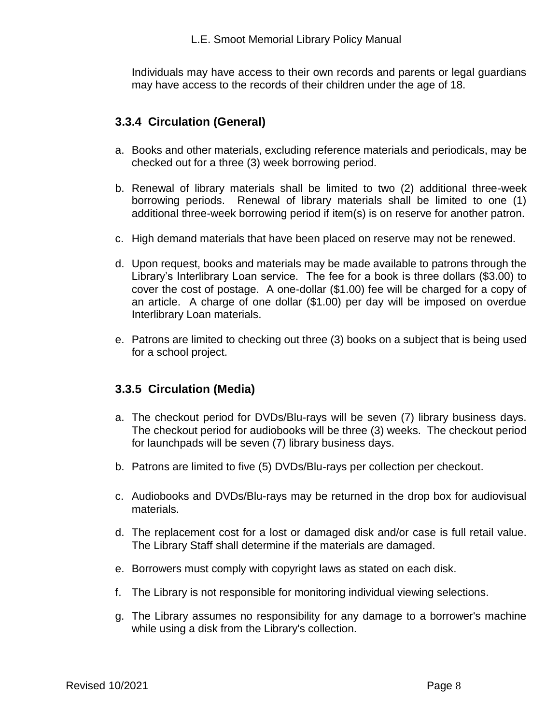Individuals may have access to their own records and parents or legal guardians may have access to the records of their children under the age of 18.

### <span id="page-12-0"></span>**3.3.4 Circulation (General)**

- a. Books and other materials, excluding reference materials and periodicals, may be checked out for a three (3) week borrowing period.
- b. Renewal of library materials shall be limited to two (2) additional three-week borrowing periods. Renewal of library materials shall be limited to one (1) additional three-week borrowing period if item(s) is on reserve for another patron.
- c. High demand materials that have been placed on reserve may not be renewed.
- d. Upon request, books and materials may be made available to patrons through the Library's Interlibrary Loan service. The fee for a book is three dollars (\$3.00) to cover the cost of postage. A one-dollar (\$1.00) fee will be charged for a copy of an article. A charge of one dollar (\$1.00) per day will be imposed on overdue Interlibrary Loan materials.
- e. Patrons are limited to checking out three (3) books on a subject that is being used for a school project.

### <span id="page-12-1"></span>**3.3.5 Circulation (Media)**

- a. The checkout period for DVDs/Blu-rays will be seven (7) library business days. The checkout period for audiobooks will be three (3) weeks. The checkout period for launchpads will be seven (7) library business days.
- b. Patrons are limited to five (5) DVDs/Blu-rays per collection per checkout.
- c. Audiobooks and DVDs/Blu-rays may be returned in the drop box for audiovisual materials.
- d. The replacement cost for a lost or damaged disk and/or case is full retail value. The Library Staff shall determine if the materials are damaged.
- e. Borrowers must comply with copyright laws as stated on each disk.
- f. The Library is not responsible for monitoring individual viewing selections.
- g. The Library assumes no responsibility for any damage to a borrower's machine while using a disk from the Library's collection.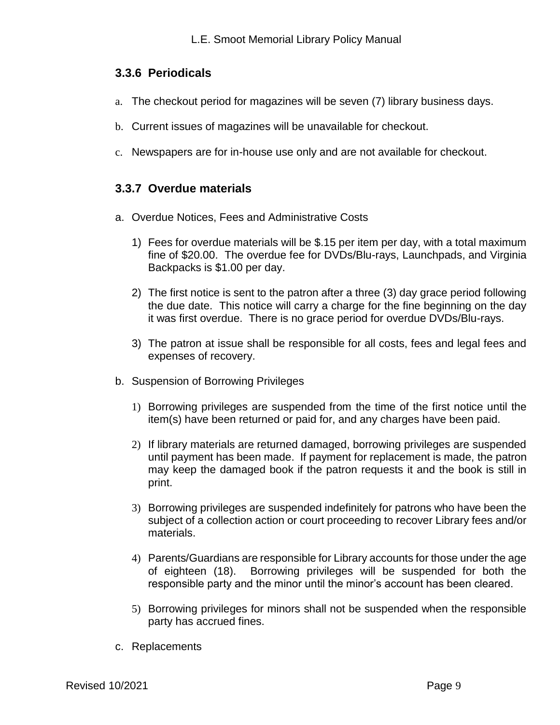### <span id="page-13-0"></span>**3.3.6 Periodicals**

- a. The checkout period for magazines will be seven (7) library business days.
- b. Current issues of magazines will be unavailable for checkout.
- c. Newspapers are for in-house use only and are not available for checkout.

### <span id="page-13-1"></span>**3.3.7 Overdue materials**

- a. Overdue Notices, Fees and Administrative Costs
	- 1) Fees for overdue materials will be \$.15 per item per day, with a total maximum fine of \$20.00. The overdue fee for DVDs/Blu-rays, Launchpads, and Virginia Backpacks is \$1.00 per day.
	- 2) The first notice is sent to the patron after a three (3) day grace period following the due date. This notice will carry a charge for the fine beginning on the day it was first overdue. There is no grace period for overdue DVDs/Blu-rays.
	- 3) The patron at issue shall be responsible for all costs, fees and legal fees and expenses of recovery.
- b. Suspension of Borrowing Privileges
	- 1) Borrowing privileges are suspended from the time of the first notice until the item(s) have been returned or paid for, and any charges have been paid.
	- 2) If library materials are returned damaged, borrowing privileges are suspended until payment has been made. If payment for replacement is made, the patron may keep the damaged book if the patron requests it and the book is still in print.
	- 3) Borrowing privileges are suspended indefinitely for patrons who have been the subject of a collection action or court proceeding to recover Library fees and/or materials.
	- 4) Parents/Guardians are responsible for Library accounts for those under the age of eighteen (18). Borrowing privileges will be suspended for both the responsible party and the minor until the minor's account has been cleared.
	- 5) Borrowing privileges for minors shall not be suspended when the responsible party has accrued fines.
- c. Replacements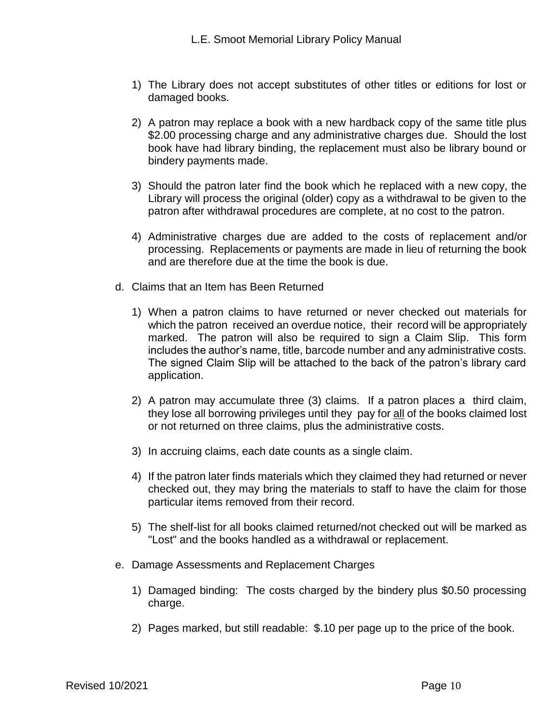- 1) The Library does not accept substitutes of other titles or editions for lost or damaged books.
- 2) A patron may replace a book with a new hardback copy of the same title plus \$2.00 processing charge and any administrative charges due. Should the lost book have had library binding, the replacement must also be library bound or bindery payments made.
- 3) Should the patron later find the book which he replaced with a new copy, the Library will process the original (older) copy as a withdrawal to be given to the patron after withdrawal procedures are complete, at no cost to the patron.
- 4) Administrative charges due are added to the costs of replacement and/or processing. Replacements or payments are made in lieu of returning the book and are therefore due at the time the book is due.
- d. Claims that an Item has Been Returned
	- 1) When a patron claims to have returned or never checked out materials for which the patron received an overdue notice, their record will be appropriately marked. The patron will also be required to sign a Claim Slip. This form includes the author's name, title, barcode number and any administrative costs. The signed Claim Slip will be attached to the back of the patron's library card application.
	- 2) A patron may accumulate three (3) claims. If a patron places a third claim, they lose all borrowing privileges until they pay for all of the books claimed lost or not returned on three claims, plus the administrative costs.
	- 3) In accruing claims, each date counts as a single claim.
	- 4) If the patron later finds materials which they claimed they had returned or never checked out, they may bring the materials to staff to have the claim for those particular items removed from their record.
	- 5) The shelf-list for all books claimed returned/not checked out will be marked as "Lost" and the books handled as a withdrawal or replacement.
- e. Damage Assessments and Replacement Charges
	- 1) Damaged binding: The costs charged by the bindery plus \$0.50 processing charge.
	- 2) Pages marked, but still readable: \$.10 per page up to the price of the book.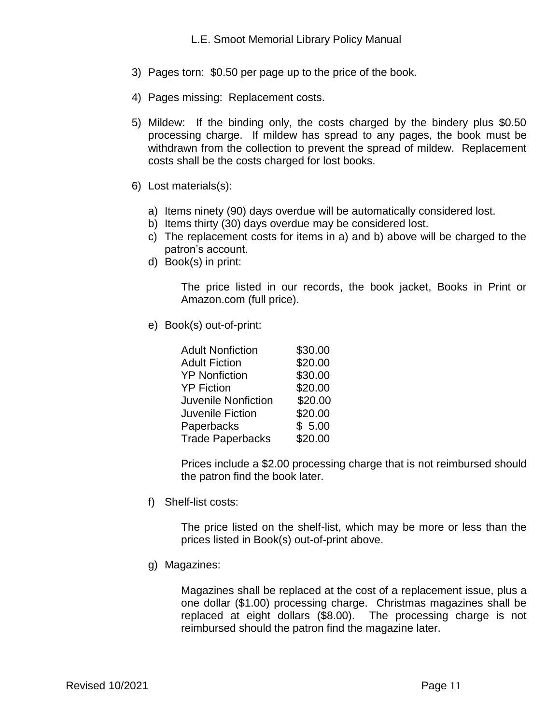- 3) Pages torn: \$0.50 per page up to the price of the book.
- 4) Pages missing: Replacement costs.
- 5) Mildew: If the binding only, the costs charged by the bindery plus \$0.50 processing charge. If mildew has spread to any pages, the book must be withdrawn from the collection to prevent the spread of mildew. Replacement costs shall be the costs charged for lost books.
- 6) Lost materials(s):
	- a) Items ninety (90) days overdue will be automatically considered lost.
	- b) Items thirty (30) days overdue may be considered lost.
	- c) The replacement costs for items in a) and b) above will be charged to the patron's account.
	- d) Book(s) in print:

The price listed in our records, the book jacket, Books in Print or Amazon.com (full price).

e) Book(s) out-of-print:

| <b>Adult Nonfiction</b>    | \$30.00 |
|----------------------------|---------|
| <b>Adult Fiction</b>       | \$20.00 |
| <b>YP Nonfiction</b>       | \$30.00 |
| <b>YP Fiction</b>          | \$20.00 |
| <b>Juvenile Nonfiction</b> | \$20.00 |
| <b>Juvenile Fiction</b>    | \$20.00 |
| Paperbacks                 | \$5.00  |
| <b>Trade Paperbacks</b>    | \$20.00 |

Prices include a \$2.00 processing charge that is not reimbursed should the patron find the book later.

f) Shelf-list costs:

The price listed on the shelf-list, which may be more or less than the prices listed in Book(s) out-of-print above.

g) Magazines:

Magazines shall be replaced at the cost of a replacement issue, plus a one dollar (\$1.00) processing charge. Christmas magazines shall be replaced at eight dollars (\$8.00). The processing charge is not reimbursed should the patron find the magazine later.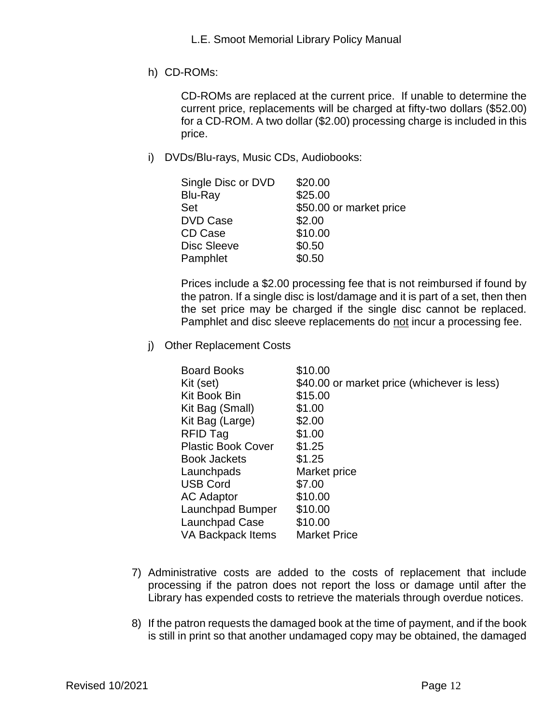h) CD-ROMs:

CD-ROMs are replaced at the current price. If unable to determine the current price, replacements will be charged at fifty-two dollars (\$52.00) for a CD-ROM. A two dollar (\$2.00) processing charge is included in this price.

i) DVDs/Blu-rays, Music CDs, Audiobooks:

| Single Disc or DVD | \$20.00                 |
|--------------------|-------------------------|
| <b>Blu-Ray</b>     | \$25.00                 |
| Set                | \$50.00 or market price |
| <b>DVD Case</b>    | \$2.00                  |
| CD Case            | \$10.00                 |
| <b>Disc Sleeve</b> | \$0.50                  |
| Pamphlet           | \$0.50                  |

Prices include a \$2.00 processing fee that is not reimbursed if found by the patron. If a single disc is lost/damage and it is part of a set, then then the set price may be charged if the single disc cannot be replaced. Pamphlet and disc sleeve replacements do not incur a processing fee.

j) Other Replacement Costs

| <b>Board Books</b>        | \$10.00                                     |
|---------------------------|---------------------------------------------|
| Kit (set)                 | \$40.00 or market price (whichever is less) |
| Kit Book Bin              | \$15.00                                     |
| Kit Bag (Small)           | \$1.00                                      |
| Kit Bag (Large)           | \$2.00                                      |
| RFID Tag                  | \$1.00                                      |
| <b>Plastic Book Cover</b> | \$1.25                                      |
| <b>Book Jackets</b>       | \$1.25                                      |
| Launchpads                | Market price                                |
| <b>USB Cord</b>           | \$7.00                                      |
| <b>AC Adaptor</b>         | \$10.00                                     |
| Launchpad Bumper          | \$10.00                                     |
| Launchpad Case            | \$10.00                                     |
| <b>VA Backpack Items</b>  | <b>Market Price</b>                         |

- 7) Administrative costs are added to the costs of replacement that include processing if the patron does not report the loss or damage until after the Library has expended costs to retrieve the materials through overdue notices.
- 8) If the patron requests the damaged book at the time of payment, and if the book is still in print so that another undamaged copy may be obtained, the damaged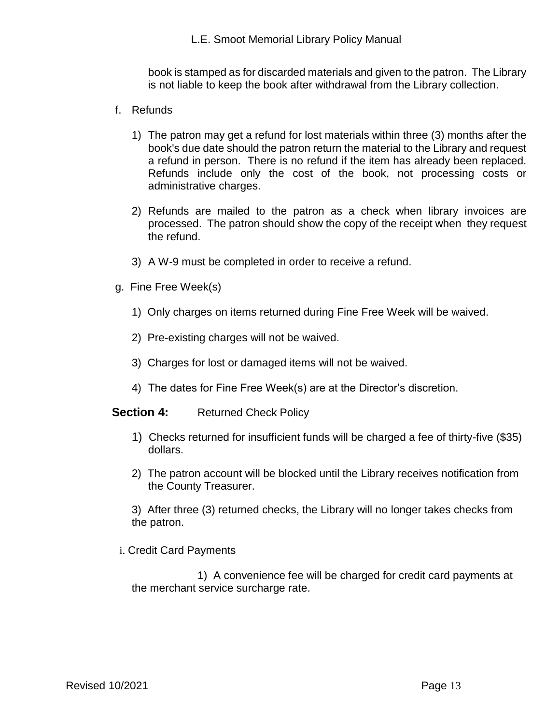#### L.E. Smoot Memorial Library Policy Manual

book is stamped as for discarded materials and given to the patron. The Library is not liable to keep the book after withdrawal from the Library collection.

- f. Refunds
	- 1) The patron may get a refund for lost materials within three (3) months after the book's due date should the patron return the material to the Library and request a refund in person. There is no refund if the item has already been replaced. Refunds include only the cost of the book, not processing costs or administrative charges.
	- 2) Refunds are mailed to the patron as a check when library invoices are processed. The patron should show the copy of the receipt when they request the refund.
	- 3) A W-9 must be completed in order to receive a refund.
- g. Fine Free Week(s)
	- 1) Only charges on items returned during Fine Free Week will be waived.
	- 2) Pre-existing charges will not be waived.
	- 3) Charges for lost or damaged items will not be waived.
	- 4) The dates for Fine Free Week(s) are at the Director's discretion.

#### **Section 4:** Returned Check Policy

- 1)Checks returned for insufficient funds will be charged a fee of thirty-five (\$35) dollars.
- 2) The patron account will be blocked until the Library receives notification from the County Treasurer.

3) After three (3) returned checks, the Library will no longer takes checks from the patron.

### i. Credit Card Payments

1) A convenience fee will be charged for credit card payments at the merchant service surcharge rate.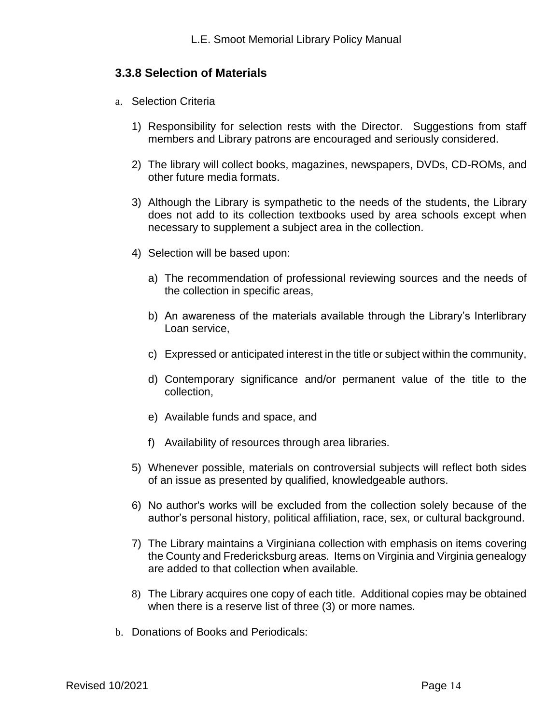### <span id="page-18-0"></span>**3.3.8 Selection of Materials**

- a. Selection Criteria
	- 1) Responsibility for selection rests with the Director. Suggestions from staff members and Library patrons are encouraged and seriously considered.
	- 2) The library will collect books, magazines, newspapers, DVDs, CD-ROMs, and other future media formats.
	- 3) Although the Library is sympathetic to the needs of the students, the Library does not add to its collection textbooks used by area schools except when necessary to supplement a subject area in the collection.
	- 4) Selection will be based upon:
		- a) The recommendation of professional reviewing sources and the needs of the collection in specific areas,
		- b) An awareness of the materials available through the Library's Interlibrary Loan service,
		- c) Expressed or anticipated interest in the title or subject within the community,
		- d) Contemporary significance and/or permanent value of the title to the collection,
		- e) Available funds and space, and
		- f) Availability of resources through area libraries.
	- 5) Whenever possible, materials on controversial subjects will reflect both sides of an issue as presented by qualified, knowledgeable authors.
	- 6) No author's works will be excluded from the collection solely because of the author's personal history, political affiliation, race, sex, or cultural background.
	- 7) The Library maintains a Virginiana collection with emphasis on items covering the County and Fredericksburg areas. Items on Virginia and Virginia genealogy are added to that collection when available.
	- 8) The Library acquires one copy of each title. Additional copies may be obtained when there is a reserve list of three (3) or more names.
- b. Donations of Books and Periodicals: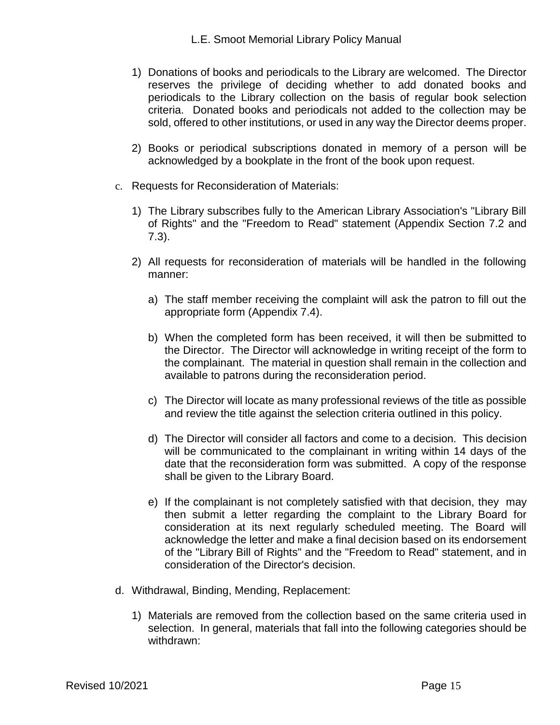- 1) Donations of books and periodicals to the Library are welcomed. The Director reserves the privilege of deciding whether to add donated books and periodicals to the Library collection on the basis of regular book selection criteria. Donated books and periodicals not added to the collection may be sold, offered to other institutions, or used in any way the Director deems proper.
- 2) Books or periodical subscriptions donated in memory of a person will be acknowledged by a bookplate in the front of the book upon request.
- c. Requests for Reconsideration of Materials:
	- 1) The Library subscribes fully to the American Library Association's "Library Bill of Rights" and the "Freedom to Read" statement (Appendix Section 7.2 and 7.3).
	- 2) All requests for reconsideration of materials will be handled in the following manner:
		- a) The staff member receiving the complaint will ask the patron to fill out the appropriate form (Appendix 7.4).
		- b) When the completed form has been received, it will then be submitted to the Director. The Director will acknowledge in writing receipt of the form to the complainant. The material in question shall remain in the collection and available to patrons during the reconsideration period.
		- c) The Director will locate as many professional reviews of the title as possible and review the title against the selection criteria outlined in this policy.
		- d) The Director will consider all factors and come to a decision. This decision will be communicated to the complainant in writing within 14 days of the date that the reconsideration form was submitted. A copy of the response shall be given to the Library Board.
		- e) If the complainant is not completely satisfied with that decision, they may then submit a letter regarding the complaint to the Library Board for consideration at its next regularly scheduled meeting. The Board will acknowledge the letter and make a final decision based on its endorsement of the "Library Bill of Rights" and the "Freedom to Read" statement, and in consideration of the Director's decision.
- d. Withdrawal, Binding, Mending, Replacement:
	- 1) Materials are removed from the collection based on the same criteria used in selection. In general, materials that fall into the following categories should be withdrawn: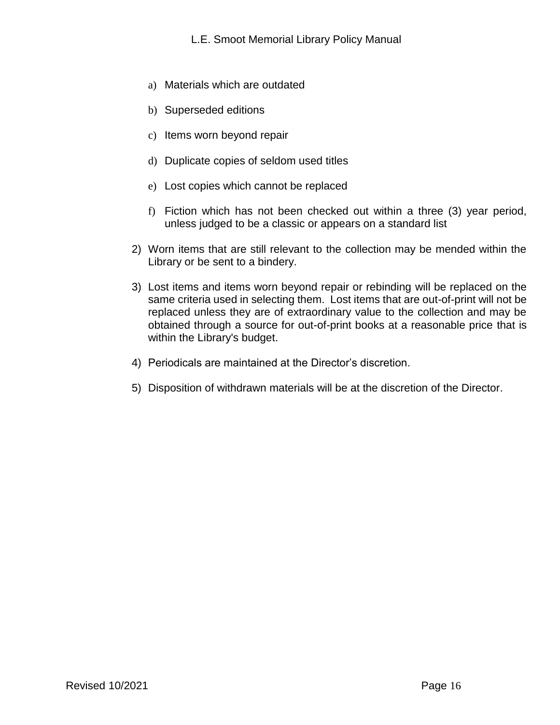- a) Materials which are outdated
- b) Superseded editions
- c) Items worn beyond repair
- d) Duplicate copies of seldom used titles
- e) Lost copies which cannot be replaced
- f) Fiction which has not been checked out within a three (3) year period, unless judged to be a classic or appears on a standard list
- 2) Worn items that are still relevant to the collection may be mended within the Library or be sent to a bindery.
- 3) Lost items and items worn beyond repair or rebinding will be replaced on the same criteria used in selecting them. Lost items that are out-of-print will not be replaced unless they are of extraordinary value to the collection and may be obtained through a source for out-of-print books at a reasonable price that is within the Library's budget.
- 4) Periodicals are maintained at the Director's discretion.
- 5) Disposition of withdrawn materials will be at the discretion of the Director.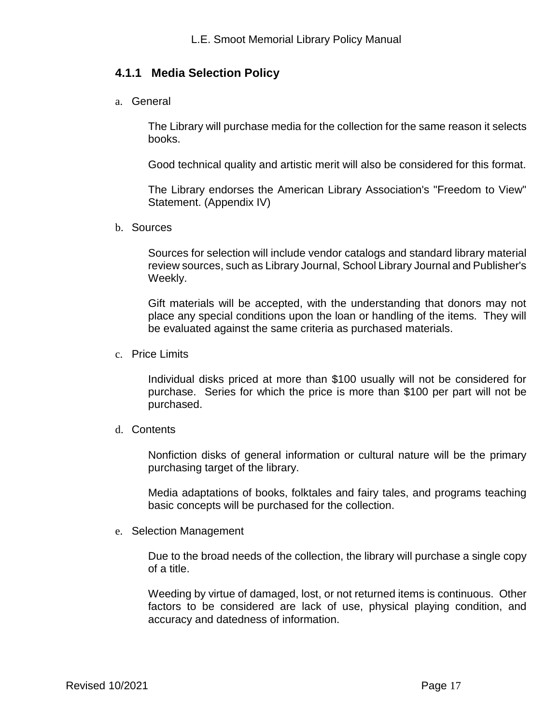### <span id="page-21-0"></span>**4.1.1 Media Selection Policy**

a. General

The Library will purchase media for the collection for the same reason it selects books.

Good technical quality and artistic merit will also be considered for this format.

The Library endorses the American Library Association's "Freedom to View" Statement. (Appendix IV)

b. Sources

Sources for selection will include vendor catalogs and standard library material review sources, such as Library Journal, School Library Journal and Publisher's Weekly.

Gift materials will be accepted, with the understanding that donors may not place any special conditions upon the loan or handling of the items. They will be evaluated against the same criteria as purchased materials.

c. Price Limits

Individual disks priced at more than \$100 usually will not be considered for purchase. Series for which the price is more than \$100 per part will not be purchased.

d. Contents

Nonfiction disks of general information or cultural nature will be the primary purchasing target of the library.

Media adaptations of books, folktales and fairy tales, and programs teaching basic concepts will be purchased for the collection.

e. Selection Management

Due to the broad needs of the collection, the library will purchase a single copy of a title.

Weeding by virtue of damaged, lost, or not returned items is continuous. Other factors to be considered are lack of use, physical playing condition, and accuracy and datedness of information.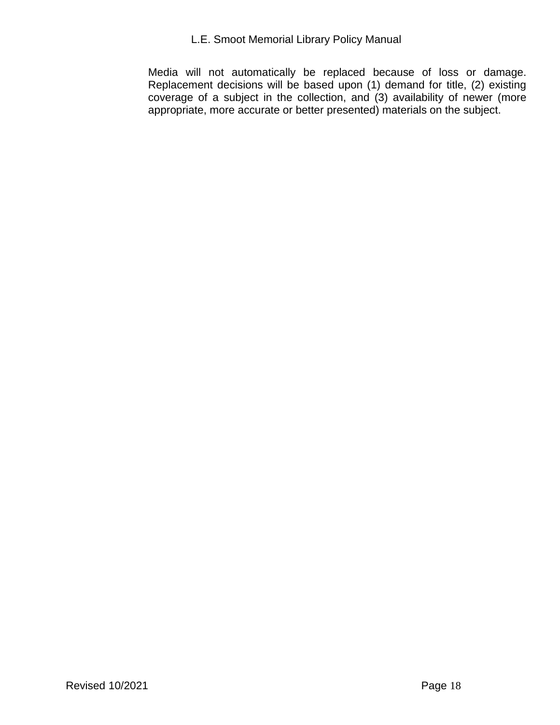#### L.E. Smoot Memorial Library Policy Manual

Media will not automatically be replaced because of loss or damage. Replacement decisions will be based upon (1) demand for title, (2) existing coverage of a subject in the collection, and (3) availability of newer (more appropriate, more accurate or better presented) materials on the subject.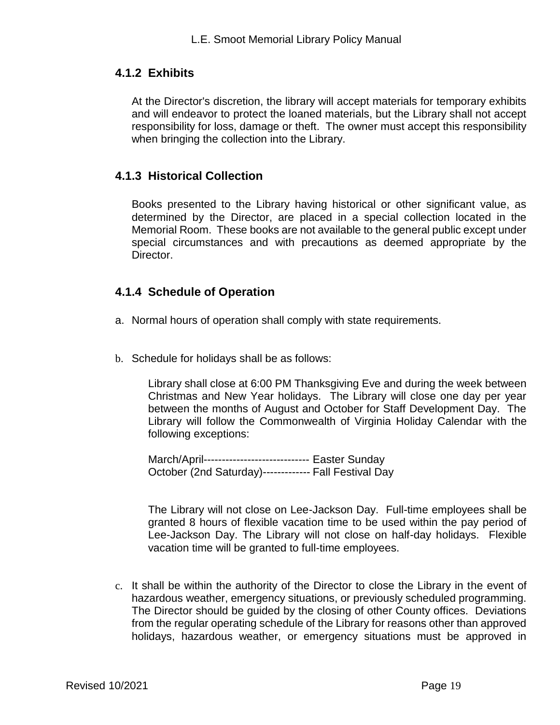### <span id="page-23-0"></span>**4.1.2 Exhibits**

At the Director's discretion, the library will accept materials for temporary exhibits and will endeavor to protect the loaned materials, but the Library shall not accept responsibility for loss, damage or theft. The owner must accept this responsibility when bringing the collection into the Library.

### <span id="page-23-1"></span>**4.1.3 Historical Collection**

Books presented to the Library having historical or other significant value, as determined by the Director, are placed in a special collection located in the Memorial Room. These books are not available to the general public except under special circumstances and with precautions as deemed appropriate by the Director.

### <span id="page-23-2"></span>**4.1.4 Schedule of Operation**

- a. Normal hours of operation shall comply with state requirements.
- b. Schedule for holidays shall be as follows:

Library shall close at 6:00 PM Thanksgiving Eve and during the week between Christmas and New Year holidays. The Library will close one day per year between the months of August and October for Staff Development Day. The Library will follow the Commonwealth of Virginia Holiday Calendar with the following exceptions:

March/April----------------------------- Easter Sunday October (2nd Saturday)------------- Fall Festival Day

The Library will not close on Lee-Jackson Day. Full-time employees shall be granted 8 hours of flexible vacation time to be used within the pay period of Lee-Jackson Day. The Library will not close on half-day holidays. Flexible vacation time will be granted to full-time employees.

c. It shall be within the authority of the Director to close the Library in the event of hazardous weather, emergency situations, or previously scheduled programming. The Director should be guided by the closing of other County offices. Deviations from the regular operating schedule of the Library for reasons other than approved holidays, hazardous weather, or emergency situations must be approved in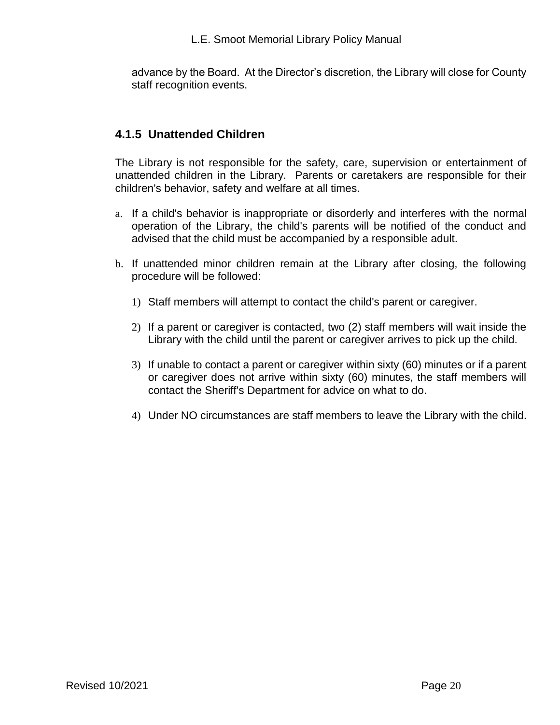advance by the Board. At the Director's discretion, the Library will close for County staff recognition events.

### <span id="page-24-0"></span>**4.1.5 Unattended Children**

The Library is not responsible for the safety, care, supervision or entertainment of unattended children in the Library. Parents or caretakers are responsible for their children's behavior, safety and welfare at all times.

- a. If a child's behavior is inappropriate or disorderly and interferes with the normal operation of the Library, the child's parents will be notified of the conduct and advised that the child must be accompanied by a responsible adult.
- b. If unattended minor children remain at the Library after closing, the following procedure will be followed:
	- 1) Staff members will attempt to contact the child's parent or caregiver.
	- 2) If a parent or caregiver is contacted, two (2) staff members will wait inside the Library with the child until the parent or caregiver arrives to pick up the child.
	- 3) If unable to contact a parent or caregiver within sixty (60) minutes or if a parent or caregiver does not arrive within sixty (60) minutes, the staff members will contact the Sheriff's Department for advice on what to do.
	- 4) Under NO circumstances are staff members to leave the Library with the child.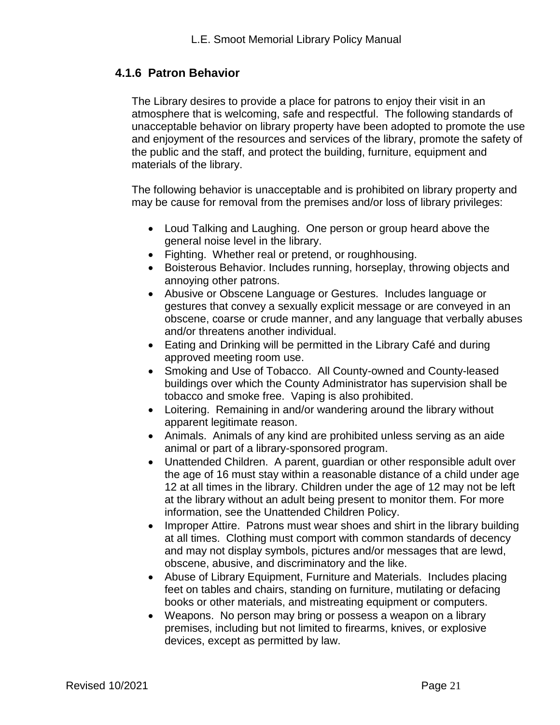### <span id="page-25-0"></span>**4.1.6 Patron Behavior**

The Library desires to provide a place for patrons to enjoy their visit in an atmosphere that is welcoming, safe and respectful. The following standards of unacceptable behavior on library property have been adopted to promote the use and enjoyment of the resources and services of the library, promote the safety of the public and the staff, and protect the building, furniture, equipment and materials of the library.

The following behavior is unacceptable and is prohibited on library property and may be cause for removal from the premises and/or loss of library privileges:

- Loud Talking and Laughing. One person or group heard above the general noise level in the library.
- Fighting. Whether real or pretend, or roughhousing.
- Boisterous Behavior. Includes running, horseplay, throwing objects and annoying other patrons.
- Abusive or Obscene Language or Gestures. Includes language or gestures that convey a sexually explicit message or are conveyed in an obscene, coarse or crude manner, and any language that verbally abuses and/or threatens another individual.
- Eating and Drinking will be permitted in the Library Café and during approved meeting room use.
- Smoking and Use of Tobacco. All County-owned and County-leased buildings over which the County Administrator has supervision shall be tobacco and smoke free. Vaping is also prohibited.
- Loitering. Remaining in and/or wandering around the library without apparent legitimate reason.
- Animals. Animals of any kind are prohibited unless serving as an aide animal or part of a library-sponsored program.
- Unattended Children. A parent, guardian or other responsible adult over the age of 16 must stay within a reasonable distance of a child under age 12 at all times in the library. Children under the age of 12 may not be left at the library without an adult being present to monitor them. For more information, see the Unattended Children Policy.
- Improper Attire. Patrons must wear shoes and shirt in the library building at all times. Clothing must comport with common standards of decency and may not display symbols, pictures and/or messages that are lewd, obscene, abusive, and discriminatory and the like.
- Abuse of Library Equipment, Furniture and Materials. Includes placing feet on tables and chairs, standing on furniture, mutilating or defacing books or other materials, and mistreating equipment or computers.
- Weapons. No person may bring or possess a weapon on a library premises, including but not limited to firearms, knives, or explosive devices, except as permitted by law.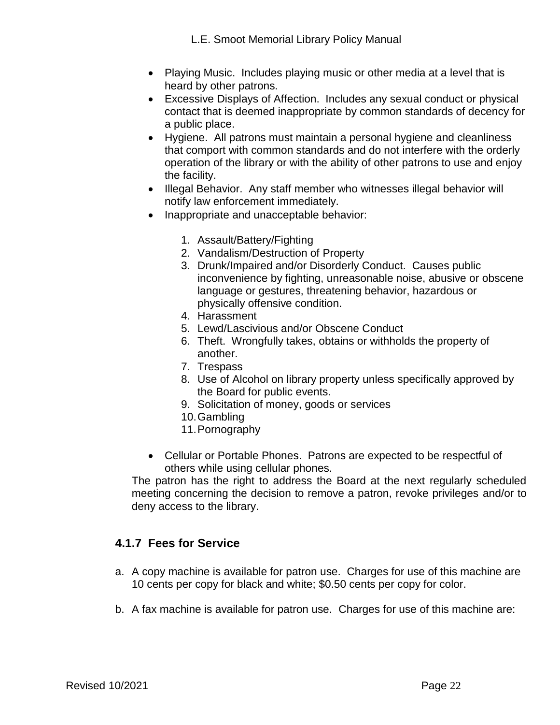- Playing Music. Includes playing music or other media at a level that is heard by other patrons.
- Excessive Displays of Affection. Includes any sexual conduct or physical contact that is deemed inappropriate by common standards of decency for a public place.
- Hygiene. All patrons must maintain a personal hygiene and cleanliness that comport with common standards and do not interfere with the orderly operation of the library or with the ability of other patrons to use and enjoy the facility.
- Illegal Behavior. Any staff member who witnesses illegal behavior will notify law enforcement immediately.
- Inappropriate and unacceptable behavior:
	- 1. Assault/Battery/Fighting
	- 2. Vandalism/Destruction of Property
	- 3. Drunk/Impaired and/or Disorderly Conduct. Causes public inconvenience by fighting, unreasonable noise, abusive or obscene language or gestures, threatening behavior, hazardous or physically offensive condition.
	- 4. Harassment
	- 5. Lewd/Lascivious and/or Obscene Conduct
	- 6. Theft. Wrongfully takes, obtains or withholds the property of another.
	- 7. Trespass
	- 8. Use of Alcohol on library property unless specifically approved by the Board for public events.
	- 9. Solicitation of money, goods or services
	- 10.Gambling
	- 11.Pornography
- Cellular or Portable Phones. Patrons are expected to be respectful of others while using cellular phones.

The patron has the right to address the Board at the next regularly scheduled meeting concerning the decision to remove a patron, revoke privileges and/or to deny access to the library.

### <span id="page-26-0"></span>**4.1.7 Fees for Service**

- a. A copy machine is available for patron use. Charges for use of this machine are 10 cents per copy for black and white; \$0.50 cents per copy for color.
- b. A fax machine is available for patron use. Charges for use of this machine are: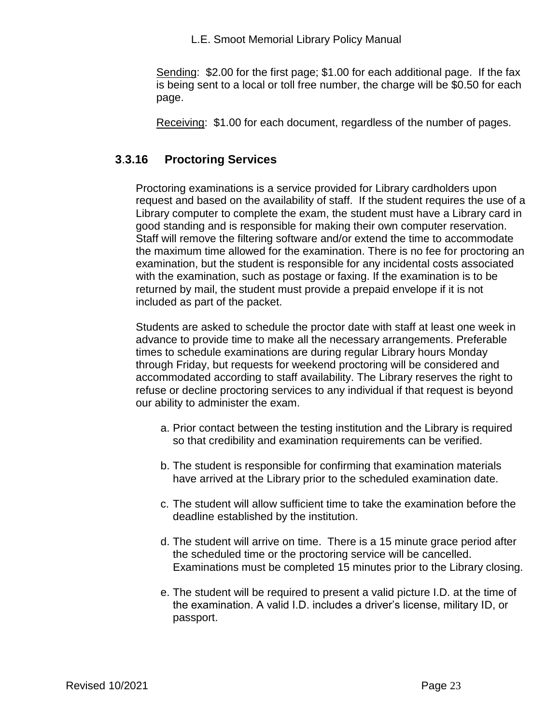Sending: \$2.00 for the first page; \$1.00 for each additional page. If the fax is being sent to a local or toll free number, the charge will be \$0.50 for each page.

Receiving: \$1.00 for each document, regardless of the number of pages.

# <span id="page-27-0"></span>**3**.**3.16 Proctoring Services**

Proctoring examinations is a service provided for Library cardholders upon request and based on the availability of staff. If the student requires the use of a Library computer to complete the exam, the student must have a Library card in good standing and is responsible for making their own computer reservation. Staff will remove the filtering software and/or extend the time to accommodate the maximum time allowed for the examination. There is no fee for proctoring an examination, but the student is responsible for any incidental costs associated with the examination, such as postage or faxing. If the examination is to be returned by mail, the student must provide a prepaid envelope if it is not included as part of the packet.

Students are asked to schedule the proctor date with staff at least one week in advance to provide time to make all the necessary arrangements. Preferable times to schedule examinations are during regular Library hours Monday through Friday, but requests for weekend proctoring will be considered and accommodated according to staff availability. The Library reserves the right to refuse or decline proctoring services to any individual if that request is beyond our ability to administer the exam.

- a. Prior contact between the testing institution and the Library is required so that credibility and examination requirements can be verified.
- b. The student is responsible for confirming that examination materials have arrived at the Library prior to the scheduled examination date.
- c. The student will allow sufficient time to take the examination before the deadline established by the institution.
- d. The student will arrive on time. There is a 15 minute grace period after the scheduled time or the proctoring service will be cancelled. Examinations must be completed 15 minutes prior to the Library closing.
- e. The student will be required to present a valid picture I.D. at the time of the examination. A valid I.D. includes a driver's license, military ID, or passport.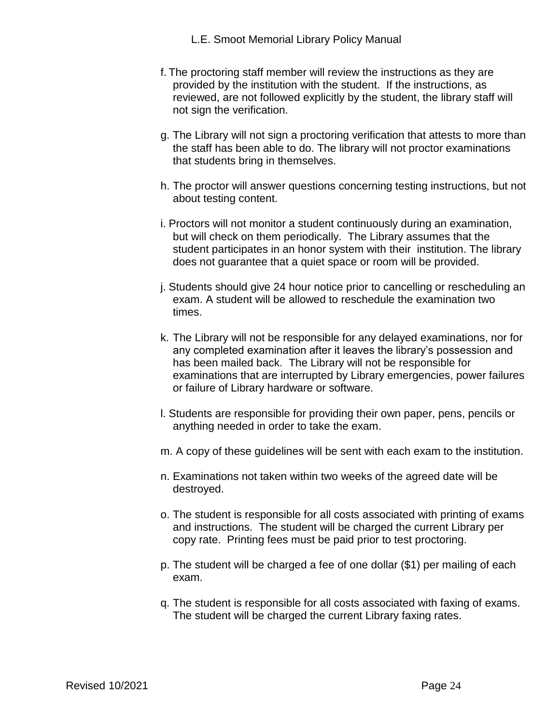- f. The proctoring staff member will review the instructions as they are provided by the institution with the student. If the instructions, as reviewed, are not followed explicitly by the student, the library staff will not sign the verification.
- g. The Library will not sign a proctoring verification that attests to more than the staff has been able to do. The library will not proctor examinations that students bring in themselves.
- h. The proctor will answer questions concerning testing instructions, but not about testing content.
- i. Proctors will not monitor a student continuously during an examination, but will check on them periodically. The Library assumes that the student participates in an honor system with their institution. The library does not guarantee that a quiet space or room will be provided.
- j. Students should give 24 hour notice prior to cancelling or rescheduling an exam. A student will be allowed to reschedule the examination two times.
- k. The Library will not be responsible for any delayed examinations, nor for any completed examination after it leaves the library's possession and has been mailed back. The Library will not be responsible for examinations that are interrupted by Library emergencies, power failures or failure of Library hardware or software.
- l. Students are responsible for providing their own paper, pens, pencils or anything needed in order to take the exam.
- m. A copy of these guidelines will be sent with each exam to the institution.
- n. Examinations not taken within two weeks of the agreed date will be destroyed.
- o. The student is responsible for all costs associated with printing of exams and instructions. The student will be charged the current Library per copy rate. Printing fees must be paid prior to test proctoring.
- p. The student will be charged a fee of one dollar (\$1) per mailing of each exam.
- q. The student is responsible for all costs associated with faxing of exams. The student will be charged the current Library faxing rates.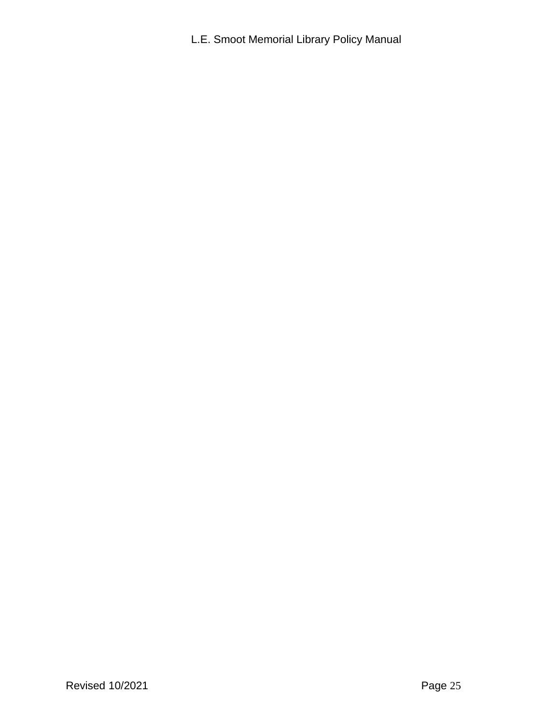L.E. Smoot Memorial Library Policy Manual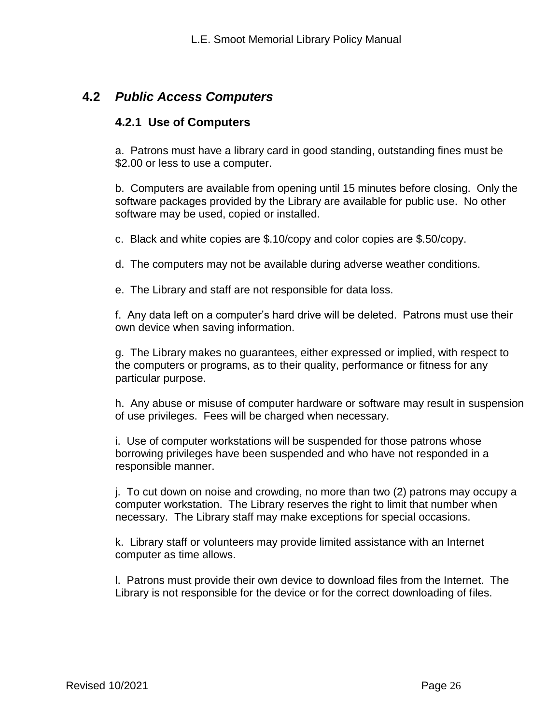# <span id="page-30-1"></span><span id="page-30-0"></span>**4.2** *Public Access Computers*

### **4.2.1 Use of Computers**

a. Patrons must have a library card in good standing, outstanding fines must be \$2.00 or less to use a computer.

b. Computers are available from opening until 15 minutes before closing. Only the software packages provided by the Library are available for public use. No other software may be used, copied or installed.

c. Black and white copies are \$.10/copy and color copies are \$.50/copy.

- d. The computers may not be available during adverse weather conditions.
- e. The Library and staff are not responsible for data loss.

f. Any data left on a computer's hard drive will be deleted. Patrons must use their own device when saving information.

g. The Library makes no guarantees, either expressed or implied, with respect to the computers or programs, as to their quality, performance or fitness for any particular purpose.

h. Any abuse or misuse of computer hardware or software may result in suspension of use privileges. Fees will be charged when necessary.

i. Use of computer workstations will be suspended for those patrons whose borrowing privileges have been suspended and who have not responded in a responsible manner.

j. To cut down on noise and crowding, no more than two (2) patrons may occupy a computer workstation. The Library reserves the right to limit that number when necessary. The Library staff may make exceptions for special occasions.

k. Library staff or volunteers may provide limited assistance with an Internet computer as time allows.

l. Patrons must provide their own device to download files from the Internet. The Library is not responsible for the device or for the correct downloading of files.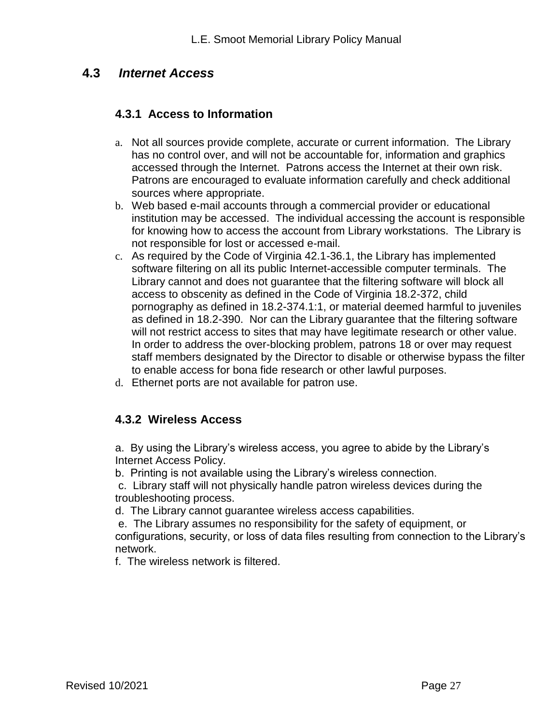# <span id="page-31-1"></span><span id="page-31-0"></span>**4.3** *Internet Access*

# **4.3.1 Access to Information**

- a. Not all sources provide complete, accurate or current information. The Library has no control over, and will not be accountable for, information and graphics accessed through the Internet. Patrons access the Internet at their own risk. Patrons are encouraged to evaluate information carefully and check additional sources where appropriate.
- b. Web based e-mail accounts through a commercial provider or educational institution may be accessed. The individual accessing the account is responsible for knowing how to access the account from Library workstations. The Library is not responsible for lost or accessed e-mail.
- c. As required by the Code of Virginia 42.1-36.1, the Library has implemented software filtering on all its public Internet-accessible computer terminals. The Library cannot and does not guarantee that the filtering software will block all access to obscenity as defined in the Code of Virginia 18.2-372, child pornography as defined in 18.2-374.1:1, or material deemed harmful to juveniles as defined in 18.2-390. Nor can the Library guarantee that the filtering software will not restrict access to sites that may have legitimate research or other value. In order to address the over-blocking problem, patrons 18 or over may request staff members designated by the Director to disable or otherwise bypass the filter to enable access for bona fide research or other lawful purposes.
- d. Ethernet ports are not available for patron use.

# <span id="page-31-2"></span>**4.3.2 Wireless Access**

a. By using the Library's wireless access, you agree to abide by the Library's Internet Access Policy.

b. Printing is not available using the Library's wireless connection.

c. Library staff will not physically handle patron wireless devices during the troubleshooting process.

d. The Library cannot guarantee wireless access capabilities.

e. The Library assumes no responsibility for the safety of equipment, or configurations, security, or loss of data files resulting from connection to the Library's network.

f. The wireless network is filtered.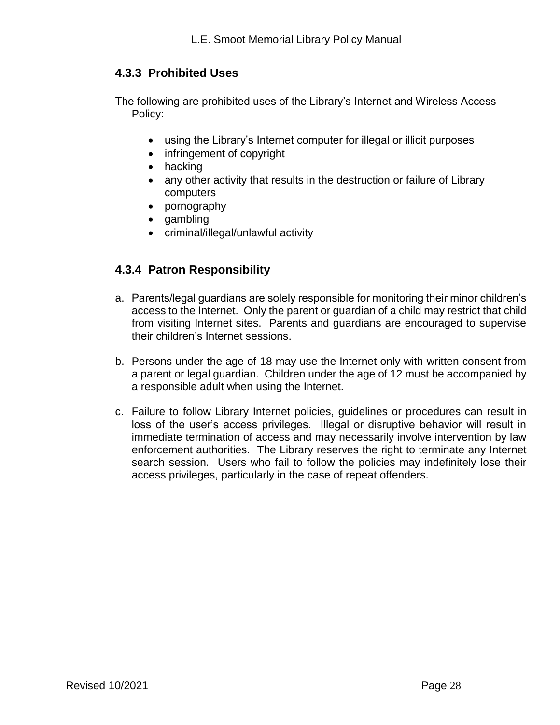# <span id="page-32-0"></span>**4.3.3 Prohibited Uses**

The following are prohibited uses of the Library's Internet and Wireless Access Policy:

- using the Library's Internet computer for illegal or illicit purposes
- infringement of copyright
- hacking
- any other activity that results in the destruction or failure of Library computers
- pornography
- gambling
- criminal/illegal/unlawful activity

# <span id="page-32-1"></span>**4.3.4 Patron Responsibility**

- a. Parents/legal guardians are solely responsible for monitoring their minor children's access to the Internet. Only the parent or guardian of a child may restrict that child from visiting Internet sites. Parents and guardians are encouraged to supervise their children's Internet sessions.
- b. Persons under the age of 18 may use the Internet only with written consent from a parent or legal guardian. Children under the age of 12 must be accompanied by a responsible adult when using the Internet.
- c. Failure to follow Library Internet policies, guidelines or procedures can result in loss of the user's access privileges. Illegal or disruptive behavior will result in immediate termination of access and may necessarily involve intervention by law enforcement authorities. The Library reserves the right to terminate any Internet search session. Users who fail to follow the policies may indefinitely lose their access privileges, particularly in the case of repeat offenders.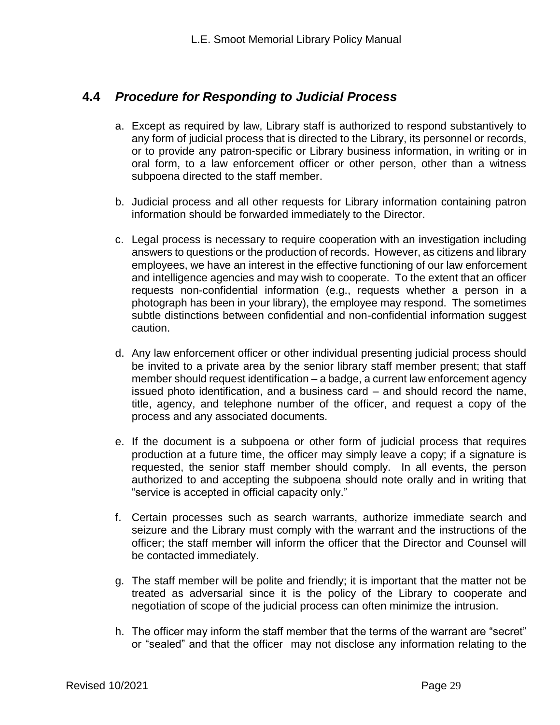# <span id="page-33-0"></span>**4.4** *Procedure for Responding to Judicial Process*

- a. Except as required by law, Library staff is authorized to respond substantively to any form of judicial process that is directed to the Library, its personnel or records, or to provide any patron-specific or Library business information, in writing or in oral form, to a law enforcement officer or other person, other than a witness subpoena directed to the staff member.
- b. Judicial process and all other requests for Library information containing patron information should be forwarded immediately to the Director.
- c. Legal process is necessary to require cooperation with an investigation including answers to questions or the production of records. However, as citizens and library employees, we have an interest in the effective functioning of our law enforcement and intelligence agencies and may wish to cooperate. To the extent that an officer requests non-confidential information (e.g., requests whether a person in a photograph has been in your library), the employee may respond. The sometimes subtle distinctions between confidential and non-confidential information suggest caution.
- d. Any law enforcement officer or other individual presenting judicial process should be invited to a private area by the senior library staff member present; that staff member should request identification – a badge, a current law enforcement agency issued photo identification, and a business card – and should record the name, title, agency, and telephone number of the officer, and request a copy of the process and any associated documents.
- e. If the document is a subpoena or other form of judicial process that requires production at a future time, the officer may simply leave a copy; if a signature is requested, the senior staff member should comply. In all events, the person authorized to and accepting the subpoena should note orally and in writing that "service is accepted in official capacity only."
- f. Certain processes such as search warrants, authorize immediate search and seizure and the Library must comply with the warrant and the instructions of the officer; the staff member will inform the officer that the Director and Counsel will be contacted immediately.
- g. The staff member will be polite and friendly; it is important that the matter not be treated as adversarial since it is the policy of the Library to cooperate and negotiation of scope of the judicial process can often minimize the intrusion.
- h. The officer may inform the staff member that the terms of the warrant are "secret" or "sealed" and that the officer may not disclose any information relating to the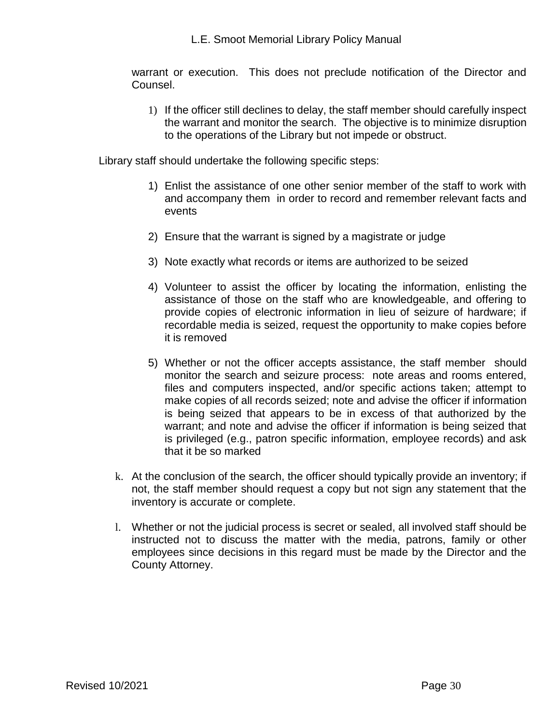warrant or execution. This does not preclude notification of the Director and Counsel.

1) If the officer still declines to delay, the staff member should carefully inspect the warrant and monitor the search. The objective is to minimize disruption to the operations of the Library but not impede or obstruct.

Library staff should undertake the following specific steps:

- 1) Enlist the assistance of one other senior member of the staff to work with and accompany them in order to record and remember relevant facts and events
- 2) Ensure that the warrant is signed by a magistrate or judge
- 3) Note exactly what records or items are authorized to be seized
- 4) Volunteer to assist the officer by locating the information, enlisting the assistance of those on the staff who are knowledgeable, and offering to provide copies of electronic information in lieu of seizure of hardware; if recordable media is seized, request the opportunity to make copies before it is removed
- 5) Whether or not the officer accepts assistance, the staff member should monitor the search and seizure process: note areas and rooms entered, files and computers inspected, and/or specific actions taken; attempt to make copies of all records seized; note and advise the officer if information is being seized that appears to be in excess of that authorized by the warrant; and note and advise the officer if information is being seized that is privileged (e.g., patron specific information, employee records) and ask that it be so marked
- k. At the conclusion of the search, the officer should typically provide an inventory; if not, the staff member should request a copy but not sign any statement that the inventory is accurate or complete.
- l. Whether or not the judicial process is secret or sealed, all involved staff should be instructed not to discuss the matter with the media, patrons, family or other employees since decisions in this regard must be made by the Director and the County Attorney.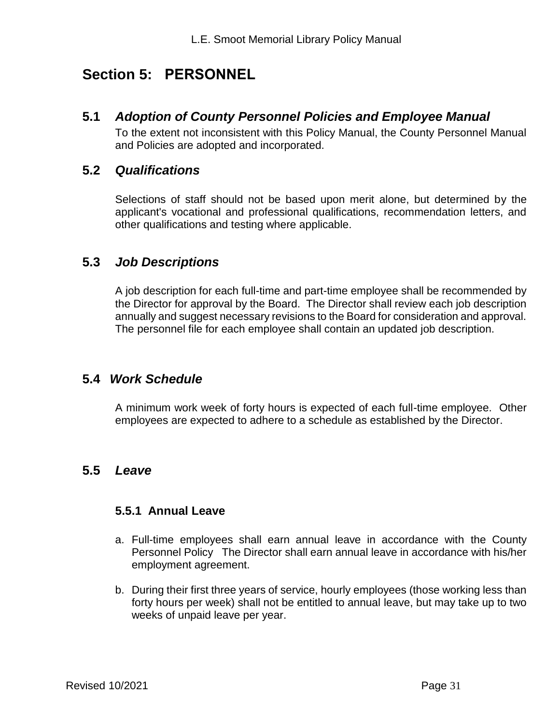# <span id="page-35-0"></span>**Section 5: PERSONNEL**

# <span id="page-35-1"></span>**5.1** *Adoption of County Personnel Policies and Employee Manual*

To the extent not inconsistent with this Policy Manual, the County Personnel Manual and Policies are adopted and incorporated.

# <span id="page-35-2"></span>**5.2** *Qualifications*

Selections of staff should not be based upon merit alone, but determined by the applicant's vocational and professional qualifications, recommendation letters, and other qualifications and testing where applicable.

# <span id="page-35-3"></span>**5.3** *Job Descriptions*

A job description for each full-time and part-time employee shall be recommended by the Director for approval by the Board. The Director shall review each job description annually and suggest necessary revisions to the Board for consideration and approval. The personnel file for each employee shall contain an updated job description.

# <span id="page-35-4"></span>**5.4** *Work Schedule*

A minimum work week of forty hours is expected of each full-time employee. Other employees are expected to adhere to a schedule as established by the Director.

# <span id="page-35-6"></span><span id="page-35-5"></span>**5.5** *Leave*

### **5.5.1 Annual Leave**

- a. Full-time employees shall earn annual leave in accordance with the County Personnel Policy The Director shall earn annual leave in accordance with his/her employment agreement.
- b. During their first three years of service, hourly employees (those working less than forty hours per week) shall not be entitled to annual leave, but may take up to two weeks of unpaid leave per year.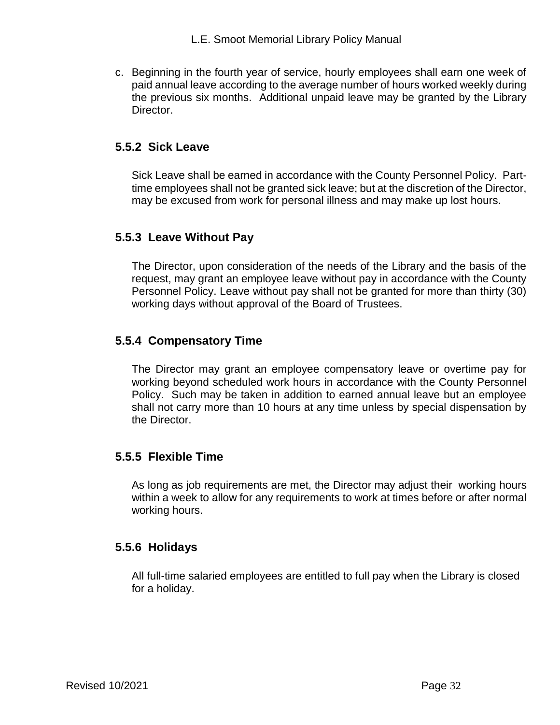c. Beginning in the fourth year of service, hourly employees shall earn one week of paid annual leave according to the average number of hours worked weekly during the previous six months. Additional unpaid leave may be granted by the Library Director.

### <span id="page-36-0"></span>**5.5.2 Sick Leave**

Sick Leave shall be earned in accordance with the County Personnel Policy. Parttime employees shall not be granted sick leave; but at the discretion of the Director, may be excused from work for personal illness and may make up lost hours.

### <span id="page-36-1"></span>**5.5.3 Leave Without Pay**

The Director, upon consideration of the needs of the Library and the basis of the request, may grant an employee leave without pay in accordance with the County Personnel Policy. Leave without pay shall not be granted for more than thirty (30) working days without approval of the Board of Trustees.

### <span id="page-36-2"></span>**5.5.4 Compensatory Time**

The Director may grant an employee compensatory leave or overtime pay for working beyond scheduled work hours in accordance with the County Personnel Policy. Such may be taken in addition to earned annual leave but an employee shall not carry more than 10 hours at any time unless by special dispensation by the Director.

### <span id="page-36-3"></span>**5.5.5 Flexible Time**

As long as job requirements are met, the Director may adjust their working hours within a week to allow for any requirements to work at times before or after normal working hours.

### <span id="page-36-4"></span>**5.5.6 Holidays**

All full-time salaried employees are entitled to full pay when the Library is closed for a holiday.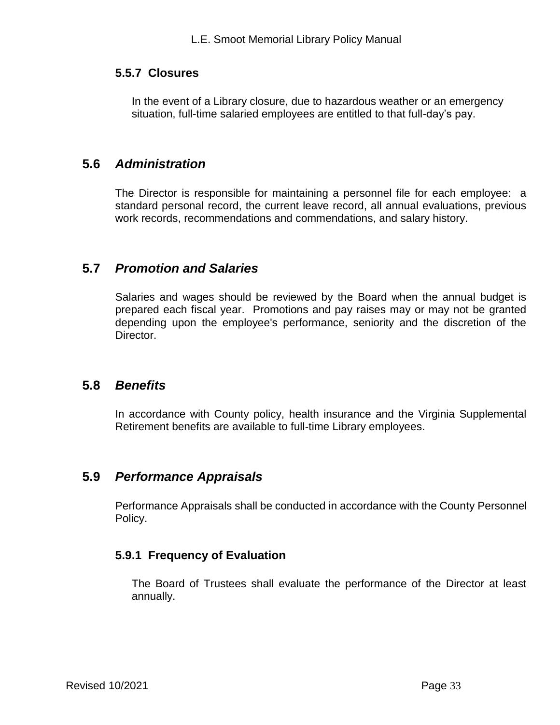### <span id="page-37-0"></span>**5.5.7 Closures**

In the event of a Library closure, due to hazardous weather or an emergency situation, full-time salaried employees are entitled to that full-day's pay.

### <span id="page-37-1"></span>**5.6** *Administration*

The Director is responsible for maintaining a personnel file for each employee: a standard personal record, the current leave record, all annual evaluations, previous work records, recommendations and commendations, and salary history.

# <span id="page-37-2"></span>**5.7** *Promotion and Salaries*

Salaries and wages should be reviewed by the Board when the annual budget is prepared each fiscal year. Promotions and pay raises may or may not be granted depending upon the employee's performance, seniority and the discretion of the Director.

### <span id="page-37-3"></span>**5.8** *Benefits*

In accordance with County policy, health insurance and the Virginia Supplemental Retirement benefits are available to full-time Library employees.

### <span id="page-37-4"></span>**5.9** *Performance Appraisals*

Performance Appraisals shall be conducted in accordance with the County Personnel Policy.

### <span id="page-37-5"></span>**5.9.1 Frequency of Evaluation**

The Board of Trustees shall evaluate the performance of the Director at least annually.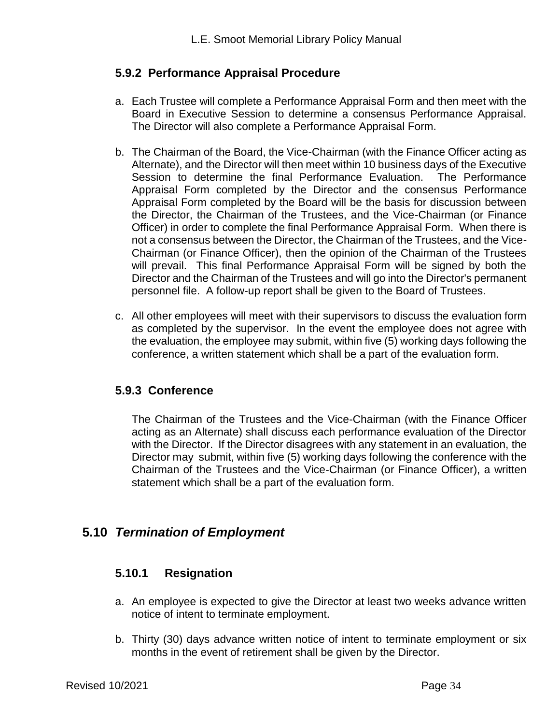### <span id="page-38-0"></span>**5.9.2 Performance Appraisal Procedure**

- a. Each Trustee will complete a Performance Appraisal Form and then meet with the Board in Executive Session to determine a consensus Performance Appraisal. The Director will also complete a Performance Appraisal Form.
- b. The Chairman of the Board, the Vice-Chairman (with the Finance Officer acting as Alternate), and the Director will then meet within 10 business days of the Executive Session to determine the final Performance Evaluation. The Performance Appraisal Form completed by the Director and the consensus Performance Appraisal Form completed by the Board will be the basis for discussion between the Director, the Chairman of the Trustees, and the Vice-Chairman (or Finance Officer) in order to complete the final Performance Appraisal Form. When there is not a consensus between the Director, the Chairman of the Trustees, and the Vice-Chairman (or Finance Officer), then the opinion of the Chairman of the Trustees will prevail. This final Performance Appraisal Form will be signed by both the Director and the Chairman of the Trustees and will go into the Director's permanent personnel file. A follow-up report shall be given to the Board of Trustees.
- c. All other employees will meet with their supervisors to discuss the evaluation form as completed by the supervisor. In the event the employee does not agree with the evaluation, the employee may submit, within five (5) working days following the conference, a written statement which shall be a part of the evaluation form.

### <span id="page-38-1"></span>**5.9.3 Conference**

The Chairman of the Trustees and the Vice-Chairman (with the Finance Officer acting as an Alternate) shall discuss each performance evaluation of the Director with the Director. If the Director disagrees with any statement in an evaluation, the Director may submit, within five (5) working days following the conference with the Chairman of the Trustees and the Vice-Chairman (or Finance Officer), a written statement which shall be a part of the evaluation form.

# <span id="page-38-3"></span><span id="page-38-2"></span>**5.10** *Termination of Employment*

### **5.10.1 Resignation**

- a. An employee is expected to give the Director at least two weeks advance written notice of intent to terminate employment.
- b. Thirty (30) days advance written notice of intent to terminate employment or six months in the event of retirement shall be given by the Director.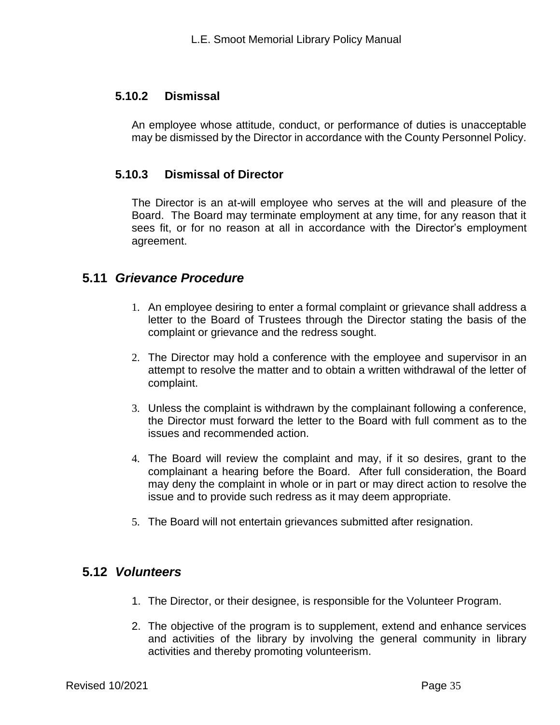### <span id="page-39-0"></span>**5.10.2 Dismissal**

An employee whose attitude, conduct, or performance of duties is unacceptable may be dismissed by the Director in accordance with the County Personnel Policy.

### <span id="page-39-1"></span>**5.10.3 Dismissal of Director**

The Director is an at-will employee who serves at the will and pleasure of the Board. The Board may terminate employment at any time, for any reason that it sees fit, or for no reason at all in accordance with the Director's employment agreement.

### <span id="page-39-2"></span>**5.11** *Grievance Procedure*

- 1. An employee desiring to enter a formal complaint or grievance shall address a letter to the Board of Trustees through the Director stating the basis of the complaint or grievance and the redress sought.
- 2. The Director may hold a conference with the employee and supervisor in an attempt to resolve the matter and to obtain a written withdrawal of the letter of complaint.
- 3. Unless the complaint is withdrawn by the complainant following a conference, the Director must forward the letter to the Board with full comment as to the issues and recommended action.
- 4. The Board will review the complaint and may, if it so desires, grant to the complainant a hearing before the Board. After full consideration, the Board may deny the complaint in whole or in part or may direct action to resolve the issue and to provide such redress as it may deem appropriate.
- 5. The Board will not entertain grievances submitted after resignation.

### <span id="page-39-3"></span>**5.12** *Volunteers*

- 1. The Director, or their designee, is responsible for the Volunteer Program.
- 2. The objective of the program is to supplement, extend and enhance services and activities of the library by involving the general community in library activities and thereby promoting volunteerism.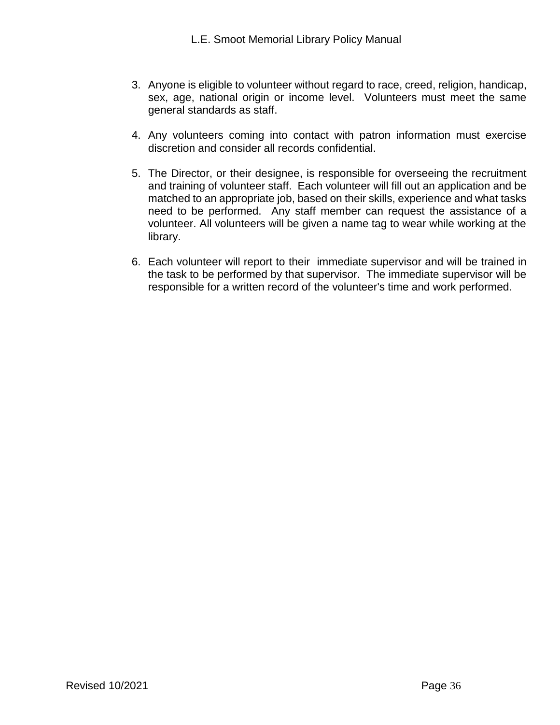- 3. Anyone is eligible to volunteer without regard to race, creed, religion, handicap, sex, age, national origin or income level. Volunteers must meet the same general standards as staff.
- 4. Any volunteers coming into contact with patron information must exercise discretion and consider all records confidential.
- 5. The Director, or their designee, is responsible for overseeing the recruitment and training of volunteer staff. Each volunteer will fill out an application and be matched to an appropriate job, based on their skills, experience and what tasks need to be performed. Any staff member can request the assistance of a volunteer. All volunteers will be given a name tag to wear while working at the library.
- 6. Each volunteer will report to their immediate supervisor and will be trained in the task to be performed by that supervisor. The immediate supervisor will be responsible for a written record of the volunteer's time and work performed.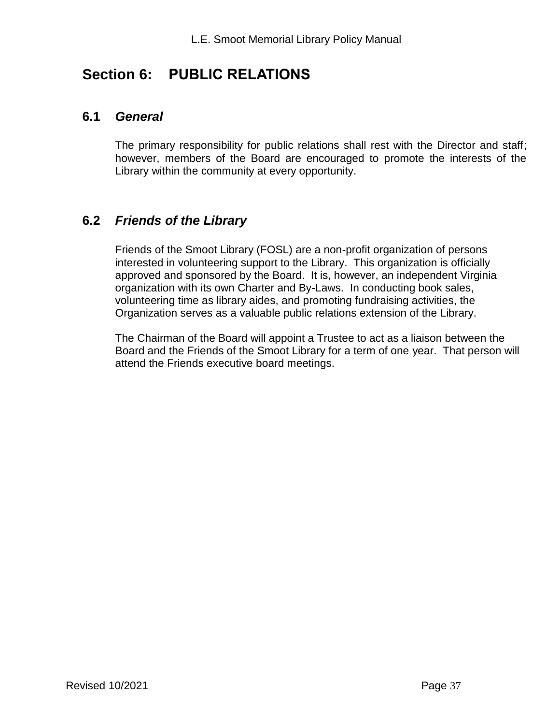# <span id="page-41-0"></span>**Section 6: PUBLIC RELATIONS**

# <span id="page-41-1"></span>**6.1** *General*

The primary responsibility for public relations shall rest with the Director and staff; however, members of the Board are encouraged to promote the interests of the Library within the community at every opportunity.

# <span id="page-41-2"></span>**6.2** *Friends of the Library*

Friends of the Smoot Library (FOSL) are a non-profit organization of persons interested in volunteering support to the Library. This organization is officially approved and sponsored by the Board. It is, however, an independent Virginia organization with its own Charter and By-Laws. In conducting book sales, volunteering time as library aides, and promoting fundraising activities, the Organization serves as a valuable public relations extension of the Library.

The Chairman of the Board will appoint a Trustee to act as a liaison between the Board and the Friends of the Smoot Library for a term of one year. That person will attend the Friends executive board meetings.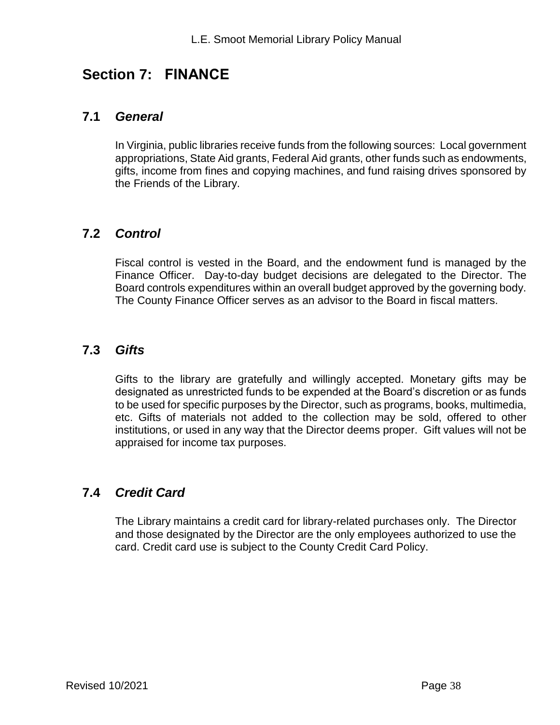# <span id="page-42-0"></span>**Section 7: FINANCE**

# <span id="page-42-1"></span>**7.1** *General*

In Virginia, public libraries receive funds from the following sources: Local government appropriations, State Aid grants, Federal Aid grants, other funds such as endowments, gifts, income from fines and copying machines, and fund raising drives sponsored by the Friends of the Library.

# <span id="page-42-2"></span>**7.2** *Control*

Fiscal control is vested in the Board, and the endowment fund is managed by the Finance Officer. Day-to-day budget decisions are delegated to the Director. The Board controls expenditures within an overall budget approved by the governing body. The County Finance Officer serves as an advisor to the Board in fiscal matters.

### <span id="page-42-3"></span>**7.3** *Gifts*

Gifts to the library are gratefully and willingly accepted. Monetary gifts may be designated as unrestricted funds to be expended at the Board's discretion or as funds to be used for specific purposes by the Director, such as programs, books, multimedia, etc. Gifts of materials not added to the collection may be sold, offered to other institutions, or used in any way that the Director deems proper. Gift values will not be appraised for income tax purposes.

### <span id="page-42-4"></span>**7.4** *Credit Card*

The Library maintains a credit card for library-related purchases only. The Director and those designated by the Director are the only employees authorized to use the card. Credit card use is subject to the County Credit Card Policy.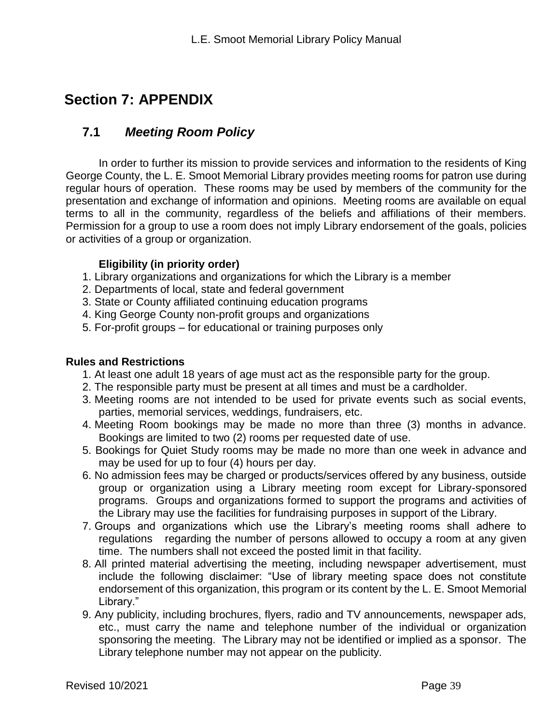# **Section 7: APPENDIX**

# **7.1** *Meeting Room Policy*

In order to further its mission to provide services and information to the residents of King George County, the L. E. Smoot Memorial Library provides meeting rooms for patron use during regular hours of operation. These rooms may be used by members of the community for the presentation and exchange of information and opinions. Meeting rooms are available on equal terms to all in the community, regardless of the beliefs and affiliations of their members. Permission for a group to use a room does not imply Library endorsement of the goals, policies or activities of a group or organization.

#### **Eligibility (in priority order)**

- 1. Library organizations and organizations for which the Library is a member
- 2. Departments of local, state and federal government
- 3. State or County affiliated continuing education programs
- 4. King George County non-profit groups and organizations
- 5. For-profit groups for educational or training purposes only

#### **Rules and Restrictions**

- 1. At least one adult 18 years of age must act as the responsible party for the group.
- 2. The responsible party must be present at all times and must be a cardholder.
- 3. Meeting rooms are not intended to be used for private events such as social events, parties, memorial services, weddings, fundraisers, etc.
- 4. Meeting Room bookings may be made no more than three (3) months in advance. Bookings are limited to two (2) rooms per requested date of use.
- 5. Bookings for Quiet Study rooms may be made no more than one week in advance and may be used for up to four (4) hours per day.
- 6. No admission fees may be charged or products/services offered by any business, outside group or organization using a Library meeting room except for Library-sponsored programs. Groups and organizations formed to support the programs and activities of the Library may use the facilities for fundraising purposes in support of the Library.
- 7. Groups and organizations which use the Library's meeting rooms shall adhere to regulations regarding the number of persons allowed to occupy a room at any given time. The numbers shall not exceed the posted limit in that facility.
- 8. All printed material advertising the meeting, including newspaper advertisement, must include the following disclaimer: "Use of library meeting space does not constitute endorsement of this organization, this program or its content by the L. E. Smoot Memorial Library."
- 9. Any publicity, including brochures, flyers, radio and TV announcements, newspaper ads, etc., must carry the name and telephone number of the individual or organization sponsoring the meeting. The Library may not be identified or implied as a sponsor. The Library telephone number may not appear on the publicity.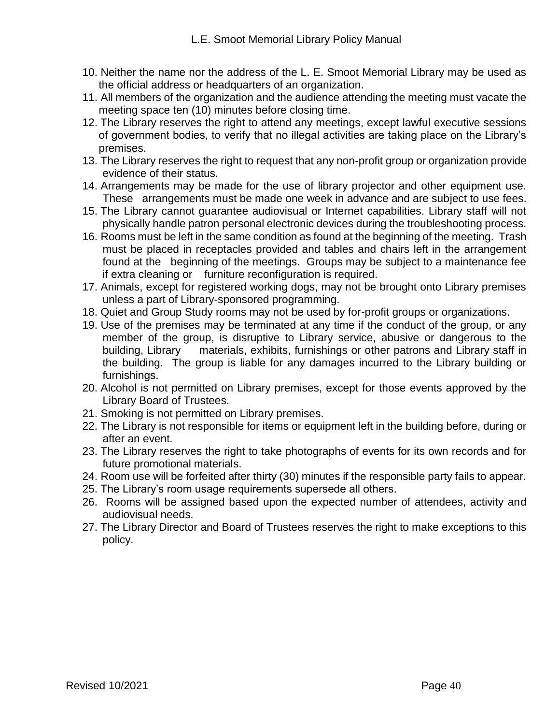- 10. Neither the name nor the address of the L. E. Smoot Memorial Library may be used as the official address or headquarters of an organization.
- 11. All members of the organization and the audience attending the meeting must vacate the meeting space ten (10) minutes before closing time.
- 12. The Library reserves the right to attend any meetings, except lawful executive sessions of government bodies, to verify that no illegal activities are taking place on the Library's premises.
- 13. The Library reserves the right to request that any non-profit group or organization provide evidence of their status.
- 14. Arrangements may be made for the use of library projector and other equipment use. These arrangements must be made one week in advance and are subject to use fees.
- 15. The Library cannot guarantee audiovisual or Internet capabilities. Library staff will not physically handle patron personal electronic devices during the troubleshooting process.
- 16. Rooms must be left in the same condition as found at the beginning of the meeting. Trash must be placed in receptacles provided and tables and chairs left in the arrangement found at the beginning of the meetings. Groups may be subject to a maintenance fee if extra cleaning or furniture reconfiguration is required.
- 17. Animals, except for registered working dogs, may not be brought onto Library premises unless a part of Library-sponsored programming.
- 18. Quiet and Group Study rooms may not be used by for-profit groups or organizations.
- 19. Use of the premises may be terminated at any time if the conduct of the group, or any member of the group, is disruptive to Library service, abusive or dangerous to the building, Library materials, exhibits, furnishings or other patrons and Library staff in the building. The group is liable for any damages incurred to the Library building or furnishings.
- 20. Alcohol is not permitted on Library premises, except for those events approved by the Library Board of Trustees.
- 21. Smoking is not permitted on Library premises.
- 22. The Library is not responsible for items or equipment left in the building before, during or after an event.
- 23. The Library reserves the right to take photographs of events for its own records and for future promotional materials.
- 24. Room use will be forfeited after thirty (30) minutes if the responsible party fails to appear.
- 25. The Library's room usage requirements supersede all others.
- 26. Rooms will be assigned based upon the expected number of attendees, activity and audiovisual needs.
- 27. The Library Director and Board of Trustees reserves the right to make exceptions to this policy.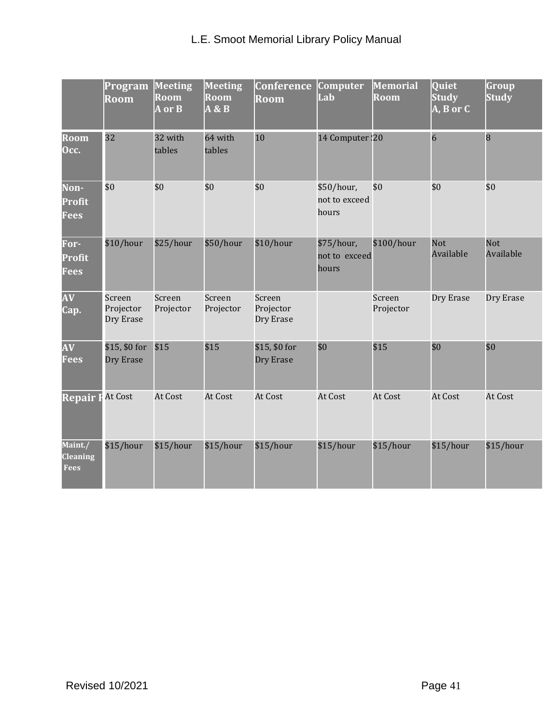# L.E. Smoot Memorial Library Policy Manual

|                                           | Program<br>Room                  | <b>Meeting</b><br>Room<br>A or B | <b>Meeting</b><br><b>Room</b><br>A & B | <b>Conference</b><br>Room        | <b>Computer</b><br>Lab               | <b>Memorial</b><br>Room | Quiet<br><b>Study</b><br>A, B or C | <b>Group</b><br><b>Study</b> |
|-------------------------------------------|----------------------------------|----------------------------------|----------------------------------------|----------------------------------|--------------------------------------|-------------------------|------------------------------------|------------------------------|
| Room<br>Occ.                              | 32                               | 32 with<br>tables                | 64 with<br>tables                      | 10                               | 14 Computer : 20                     |                         | $\overline{6}$                     | 8                            |
| Non-<br><b>Profit</b><br><b>Fees</b>      | \$0                              | \$0                              | \$0                                    | \$0                              | \$50/hour,<br>not to exceed<br>hours | \$0                     | \$0                                | \$0                          |
| For-<br><b>Profit</b><br><b>Fees</b>      | \$10/hour                        | \$25/hour                        | \$50/hour                              | \$10/hour                        | \$75/hour,<br>not to exceed<br>hours | \$100/hour              | <b>Not</b><br>Available            | <b>Not</b><br>Available      |
| AV<br>Cap.                                | Screen<br>Projector<br>Dry Erase | Screen<br>Projector              | Screen<br>Projector                    | Screen<br>Projector<br>Dry Erase |                                      | Screen<br>Projector     | Dry Erase                          | Dry Erase                    |
| <b>AV</b><br><b>Fees</b>                  | \$15, \$0 for<br>Dry Erase       | \$15                             | \$15                                   | \$15, \$0 for<br>Dry Erase       | \$0                                  | \$15                    | \$0                                | \$0                          |
| <b>Repair F At Cost</b>                   |                                  | At Cost                          | At Cost                                | At Cost                          | At Cost                              | At Cost                 | At Cost                            | At Cost                      |
| Maint./<br><b>Cleaning</b><br><b>Fees</b> | \$15/hour                        | \$15/hour                        | \$15/hour                              | \$15/hour                        | \$15/hour                            | \$15/hour               | \$15/hour                          | \$15/hour                    |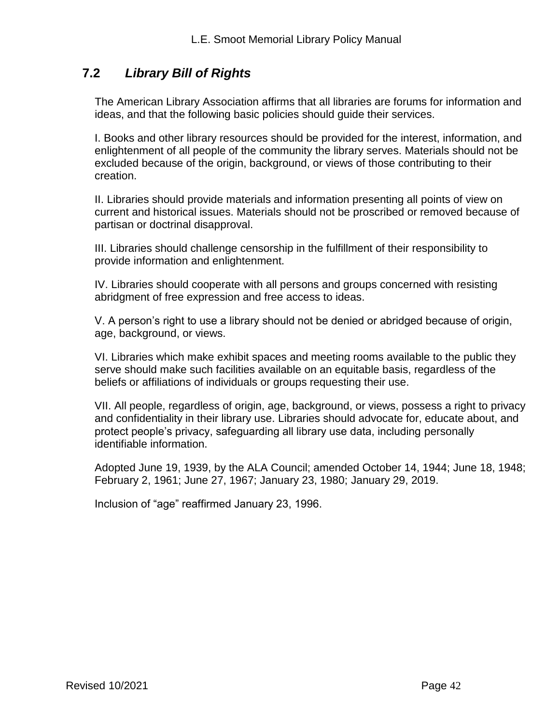# **7.2** *Library Bill of Rights*

The American Library Association affirms that all libraries are forums for information and ideas, and that the following basic policies should guide their services.

I. Books and other library resources should be provided for the interest, information, and enlightenment of all people of the community the library serves. Materials should not be excluded because of the origin, background, or views of those contributing to their creation.

II. Libraries should provide materials and information presenting all points of view on current and historical issues. Materials should not be proscribed or removed because of partisan or doctrinal disapproval.

III. Libraries should challenge censorship in the fulfillment of their responsibility to provide information and enlightenment.

IV. Libraries should cooperate with all persons and groups concerned with resisting abridgment of free expression and free access to ideas.

V. A person's right to use a library should not be denied or abridged because of origin, age, background, or views.

VI. Libraries which make exhibit spaces and meeting rooms available to the public they serve should make such facilities available on an equitable basis, regardless of the beliefs or affiliations of individuals or groups requesting their use.

VII. All people, regardless of origin, age, background, or views, possess a right to privacy and confidentiality in their library use. Libraries should advocate for, educate about, and protect people's privacy, safeguarding all library use data, including personally identifiable information.

Adopted June 19, 1939, by the ALA Council; amended October 14, 1944; June 18, 1948; February 2, 1961; June 27, 1967; January 23, 1980; January 29, 2019.

Inclusion of "age" reaffirmed January 23, 1996.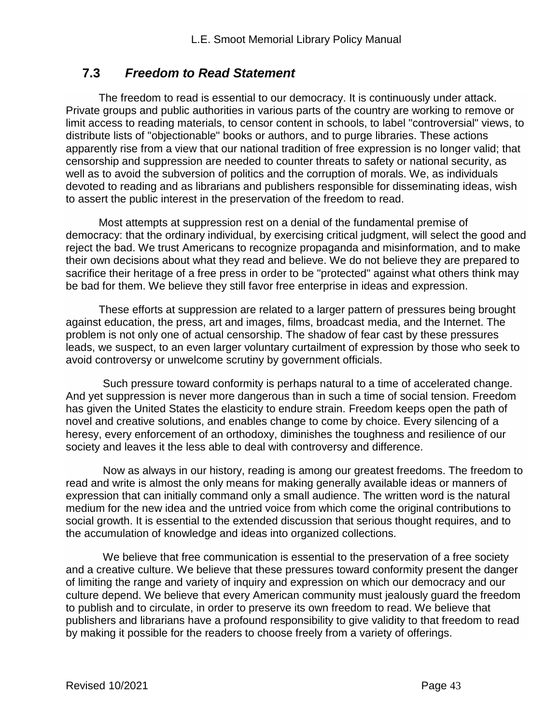# **7.3** *Freedom to Read Statement*

The freedom to read is essential to our democracy. It is continuously under attack. Private groups and public authorities in various parts of the country are working to remove or limit access to reading materials, to censor content in schools, to label "controversial" views, to distribute lists of "objectionable" books or authors, and to purge libraries. These actions apparently rise from a view that our national tradition of free expression is no longer valid; that censorship and suppression are needed to counter threats to safety or national security, as well as to avoid the subversion of politics and the corruption of morals. We, as individuals devoted to reading and as librarians and publishers responsible for disseminating ideas, wish to assert the public interest in the preservation of the freedom to read.

Most attempts at suppression rest on a denial of the fundamental premise of democracy: that the ordinary individual, by exercising critical judgment, will select the good and reject the bad. We trust Americans to recognize propaganda and misinformation, and to make their own decisions about what they read and believe. We do not believe they are prepared to sacrifice their heritage of a free press in order to be "protected" against what others think may be bad for them. We believe they still favor free enterprise in ideas and expression.

These efforts at suppression are related to a larger pattern of pressures being brought against education, the press, art and images, films, broadcast media, and the Internet. The problem is not only one of actual censorship. The shadow of fear cast by these pressures leads, we suspect, to an even larger voluntary curtailment of expression by those who seek to avoid controversy or unwelcome scrutiny by government officials.

Such pressure toward conformity is perhaps natural to a time of accelerated change. And yet suppression is never more dangerous than in such a time of social tension. Freedom has given the United States the elasticity to endure strain. Freedom keeps open the path of novel and creative solutions, and enables change to come by choice. Every silencing of a heresy, every enforcement of an orthodoxy, diminishes the toughness and resilience of our society and leaves it the less able to deal with controversy and difference.

Now as always in our history, reading is among our greatest freedoms. The freedom to read and write is almost the only means for making generally available ideas or manners of expression that can initially command only a small audience. The written word is the natural medium for the new idea and the untried voice from which come the original contributions to social growth. It is essential to the extended discussion that serious thought requires, and to the accumulation of knowledge and ideas into organized collections.

We believe that free communication is essential to the preservation of a free society and a creative culture. We believe that these pressures toward conformity present the danger of limiting the range and variety of inquiry and expression on which our democracy and our culture depend. We believe that every American community must jealously guard the freedom to publish and to circulate, in order to preserve its own freedom to read. We believe that publishers and librarians have a profound responsibility to give validity to that freedom to read by making it possible for the readers to choose freely from a variety of offerings.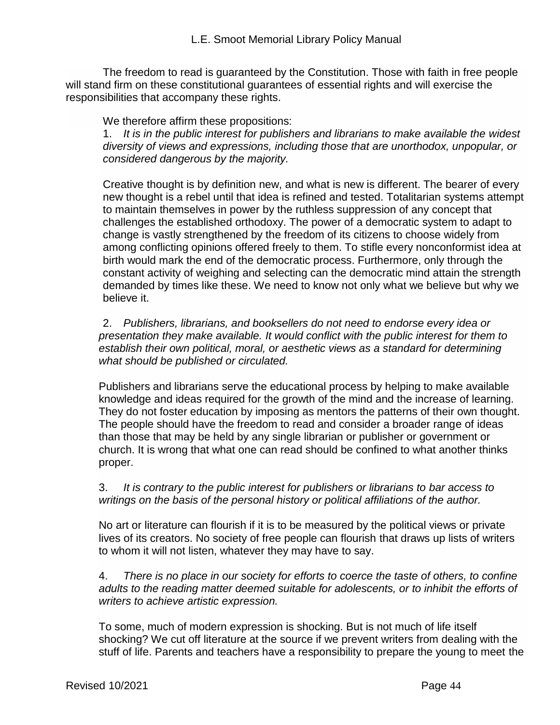The freedom to read is guaranteed by the Constitution. Those with faith in free people will stand firm on these constitutional guarantees of essential rights and will exercise the responsibilities that accompany these rights.

#### We therefore affirm these propositions:

1. *It is in the public interest for publishers and librarians to make available the widest diversity of views and expressions, including those that are unorthodox, unpopular, or considered dangerous by the majority.*

Creative thought is by definition new, and what is new is different. The bearer of every new thought is a rebel until that idea is refined and tested. Totalitarian systems attempt to maintain themselves in power by the ruthless suppression of any concept that challenges the established orthodoxy. The power of a democratic system to adapt to change is vastly strengthened by the freedom of its citizens to choose widely from among conflicting opinions offered freely to them. To stifle every nonconformist idea at birth would mark the end of the democratic process. Furthermore, only through the constant activity of weighing and selecting can the democratic mind attain the strength demanded by times like these. We need to know not only what we believe but why we believe it.

2. *Publishers, librarians, and booksellers do not need to endorse every idea or presentation they make available. It would conflict with the public interest for them to establish their own political, moral, or aesthetic views as a standard for determining what should be published or circulated.*

Publishers and librarians serve the educational process by helping to make available knowledge and ideas required for the growth of the mind and the increase of learning. They do not foster education by imposing as mentors the patterns of their own thought. The people should have the freedom to read and consider a broader range of ideas than those that may be held by any single librarian or publisher or government or church. It is wrong that what one can read should be confined to what another thinks proper.

3. *It is contrary to the public interest for publishers or librarians to bar access to writings on the basis of the personal history or political affiliations of the author.*

No art or literature can flourish if it is to be measured by the political views or private lives of its creators. No society of free people can flourish that draws up lists of writers to whom it will not listen, whatever they may have to say.

4. *There is no place in our society for efforts to coerce the taste of others, to confine adults to the reading matter deemed suitable for adolescents, or to inhibit the efforts of writers to achieve artistic expression.*

To some, much of modern expression is shocking. But is not much of life itself shocking? We cut off literature at the source if we prevent writers from dealing with the stuff of life. Parents and teachers have a responsibility to prepare the young to meet the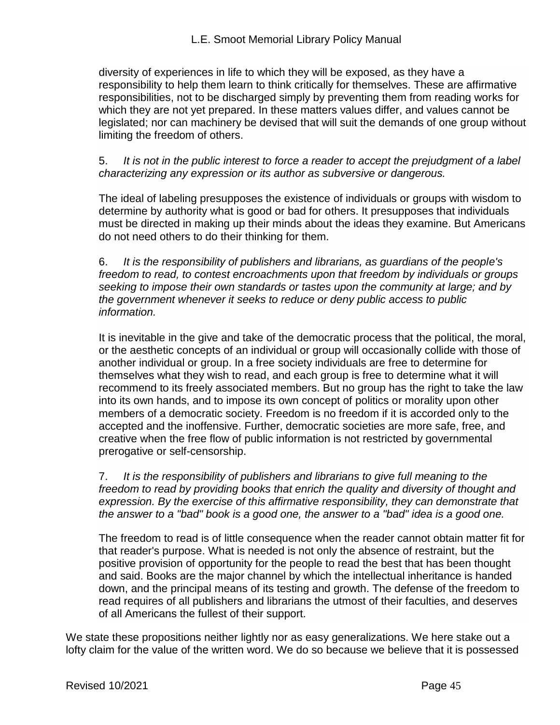diversity of experiences in life to which they will be exposed, as they have a responsibility to help them learn to think critically for themselves. These are affirmative responsibilities, not to be discharged simply by preventing them from reading works for which they are not yet prepared. In these matters values differ, and values cannot be legislated; nor can machinery be devised that will suit the demands of one group without limiting the freedom of others.

5. *It is not in the public interest to force a reader to accept the prejudgment of a label characterizing any expression or its author as subversive or dangerous.*

The ideal of labeling presupposes the existence of individuals or groups with wisdom to determine by authority what is good or bad for others. It presupposes that individuals must be directed in making up their minds about the ideas they examine. But Americans do not need others to do their thinking for them.

6. *It is the responsibility of publishers and librarians, as guardians of the people's freedom to read, to contest encroachments upon that freedom by individuals or groups seeking to impose their own standards or tastes upon the community at large; and by the government whenever it seeks to reduce or deny public access to public information.*

It is inevitable in the give and take of the democratic process that the political, the moral, or the aesthetic concepts of an individual or group will occasionally collide with those of another individual or group. In a free society individuals are free to determine for themselves what they wish to read, and each group is free to determine what it will recommend to its freely associated members. But no group has the right to take the law into its own hands, and to impose its own concept of politics or morality upon other members of a democratic society. Freedom is no freedom if it is accorded only to the accepted and the inoffensive. Further, democratic societies are more safe, free, and creative when the free flow of public information is not restricted by governmental prerogative or self-censorship.

7. *It is the responsibility of publishers and librarians to give full meaning to the freedom to read by providing books that enrich the quality and diversity of thought and expression. By the exercise of this affirmative responsibility, they can demonstrate that the answer to a "bad" book is a good one, the answer to a "bad" idea is a good one.*

The freedom to read is of little consequence when the reader cannot obtain matter fit for that reader's purpose. What is needed is not only the absence of restraint, but the positive provision of opportunity for the people to read the best that has been thought and said. Books are the major channel by which the intellectual inheritance is handed down, and the principal means of its testing and growth. The defense of the freedom to read requires of all publishers and librarians the utmost of their faculties, and deserves of all Americans the fullest of their support.

We state these propositions neither lightly nor as easy generalizations. We here stake out a lofty claim for the value of the written word. We do so because we believe that it is possessed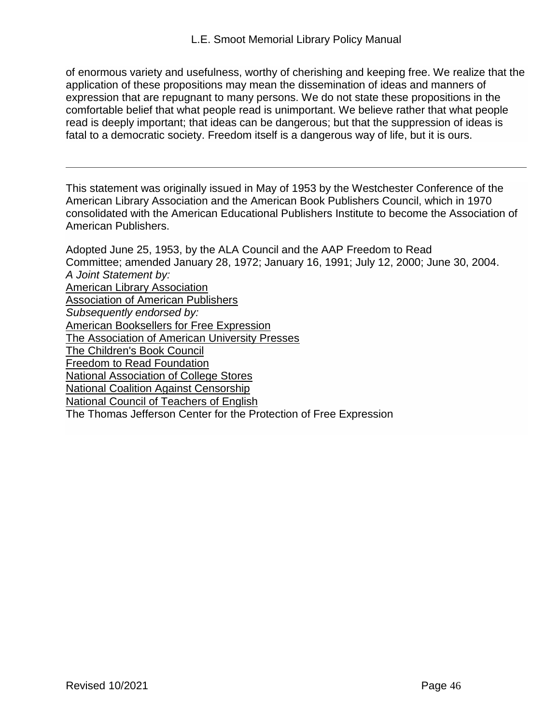of enormous variety and usefulness, worthy of cherishing and keeping free. We realize that the application of these propositions may mean the dissemination of ideas and manners of expression that are repugnant to many persons. We do not state these propositions in the comfortable belief that what people read is unimportant. We believe rather that what people read is deeply important; that ideas can be dangerous; but that the suppression of ideas is fatal to a democratic society. Freedom itself is a dangerous way of life, but it is ours.

This statement was originally issued in May of 1953 by the Westchester Conference of the American Library Association and the American Book Publishers Council, which in 1970 consolidated with the American Educational Publishers Institute to become the Association of American Publishers.

Adopted June 25, 1953, by the ALA Council and the AAP Freedom to Read Committee; amended January 28, 1972; January 16, 1991; July 12, 2000; June 30, 2004. *A Joint Statement by:* [American Library Association](http://www.ala.org/) [Association of American Publishers](http://www.publishers.org/#_blank) *Subsequently endorsed by:* [American Booksellers for Free Expression](http://www.bookweb.org/abfe#_blank) [The Association of American University Presses](http://www.aaupnet.org/#_blank) [The Children's Book Council](http://www.cbcbooks.org/#_blank) [Freedom to Read Foundation](http://www.ftrf.org/#_blank) [National Association of College Stores](http://www.nacs.org/#_blank) [National Coalition Against Censorship](http://www.ncac.org/#_blank) [National Council of Teachers of English](http://www.ncte.org/#_blank) The Thomas Jefferson Center for the Protection of Free Expression